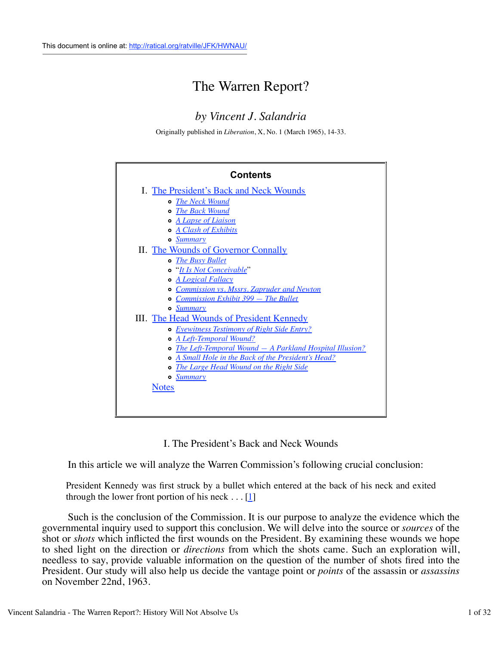# The Warren Report?

# *by Vincent J. Salandria*

Originally published in *Liberation*, X, No. 1 (March 1965), 14-33.

| <b>Contents</b>                                             |
|-------------------------------------------------------------|
| I. The President's Back and Neck Wounds                     |
| <b>•</b> The Neck Wound                                     |
| <b>•</b> The Back Wound                                     |
| <b>o</b> A Lapse of Liaison                                 |
| A Clash of Exhibits                                         |
| o Summary                                                   |
| II. The Wounds of Governor Connally                         |
| o The Busy Bullet                                           |
| o "It Is Not Conceivable"                                   |
| <b>•</b> A Logical Fallacy                                  |
| <b>Commission vs. Mssrs. Zapruder and Newton</b>            |
| <b>Commission Exhibit 399 – The Bullet</b><br>۰             |
| <b>o</b> Summary                                            |
| III. The Head Wounds of President Kennedy                   |
| <b>o</b> Eyewitness Testimony of Right Side Entry?          |
| o A Left-Temporal Wound?                                    |
| • The Left-Temporal Wound $-$ A Parkland Hospital Illusion? |
| A Small Hole in the Back of the President's Head?<br>۰      |
| The Large Head Wound on the Right Side<br>۰                 |
| <b>• Summary</b>                                            |
| <b>Notes</b>                                                |
|                                                             |
|                                                             |

I. The President's Back and Neck Wounds

In this article we will analyze the Warren Commission's following crucial conclusion:

President Kennedy was first struck by a bullet which entered at the back of his neck and exited through the lower front portion of his neck  $\dots$  [1]

 Such is the conclusion of the Commission. It is our purpose to analyze the evidence which the governmental inquiry used to support this conclusion. We will delve into the source or *sources* of the shot or *shots* which inflicted the first wounds on the President. By examining these wounds we hope to shed light on the direction or *directions* from which the shots came. Such an exploration will, needless to say, provide valuable information on the question of the number of shots fired into the President. Our study will also help us decide the vantage point or *points* of the assassin or *assassins* on November 22nd, 1963.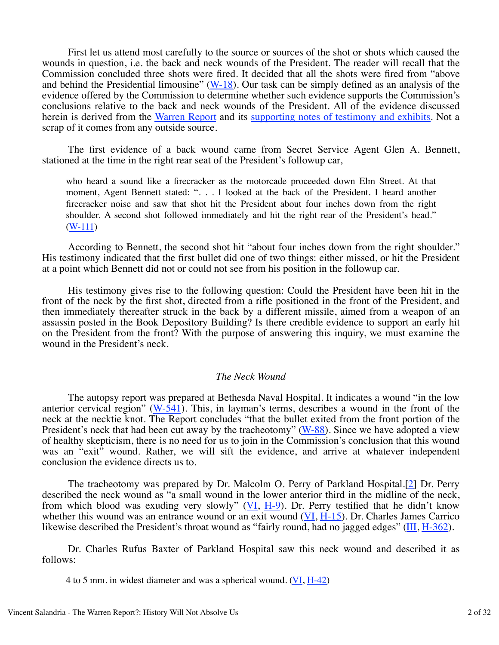First let us attend most carefully to the source or sources of the shot or shots which caused the wounds in question, i.e. the back and neck wounds of the President. The reader will recall that the Commission concluded three shots were fired. It decided that all the shots were fired from "above and behind the Presidential limousine"  $(W-18)$ . Our task can be simply defined as an analysis of the evidence offered by the Commission to determine whether such evidence supports the Commission's conclusions relative to the back and neck wounds of the President. All of the evidence discussed herein is derived from the Warren Report and its supporting notes of testimony and exhibits. Not a scrap of it comes from any outside source.

 The first evidence of a back wound came from Secret Service Agent Glen A. Bennett, stationed at the time in the right rear seat of the President's followup car,

who heard a sound like a firecracker as the motorcade proceeded down Elm Street. At that moment, Agent Bennett stated: ". . . I looked at the back of the President. I heard another firecracker noise and saw that shot hit the President about four inches down from the right shoulder. A second shot followed immediately and hit the right rear of the President's head." (W-111)

 According to Bennett, the second shot hit "about four inches down from the right shoulder." His testimony indicated that the first bullet did one of two things: either missed, or hit the President at a point which Bennett did not or could not see from his position in the followup car.

 His testimony gives rise to the following question: Could the President have been hit in the front of the neck by the first shot, directed from a rifle positioned in the front of the President, and then immediately thereafter struck in the back by a different missile, aimed from a weapon of an assassin posted in the Book Depository Building? Is there credible evidence to support an early hit on the President from the front? With the purpose of answering this inquiry, we must examine the wound in the President's neck.

#### *The Neck Wound*

 The autopsy report was prepared at Bethesda Naval Hospital. It indicates a wound "in the low anterior cervical region"  $(W-541)$ . This, in layman's terms, describes a wound in the front of the neck at the necktie knot. The Report concludes "that the bullet exited from the front portion of the President's neck that had been cut away by the tracheotomy" (W-88). Since we have adopted a view of healthy skepticism, there is no need for us to join in the Commission's conclusion that this wound was an "exit" wound. Rather, we will sift the evidence, and arrive at whatever independent conclusion the evidence directs us to.

 The tracheotomy was prepared by Dr. Malcolm O. Perry of Parkland Hospital.[2] Dr. Perry described the neck wound as "a small wound in the lower anterior third in the midline of the neck, from which blood was exuding very slowly"  $(VI, H-9)$ . Dr. Perry testified that he didn't know whether this wound was an entrance wound or an exit wound  $(VI, H-15)$ . Dr. Charles James Carrico likewise described the President's throat wound as "fairly round, had no jagged edges" (III, H-362).

 Dr. Charles Rufus Baxter of Parkland Hospital saw this neck wound and described it as follows:

4 to 5 mm. in widest diameter and was a spherical wound. (VI, H-42)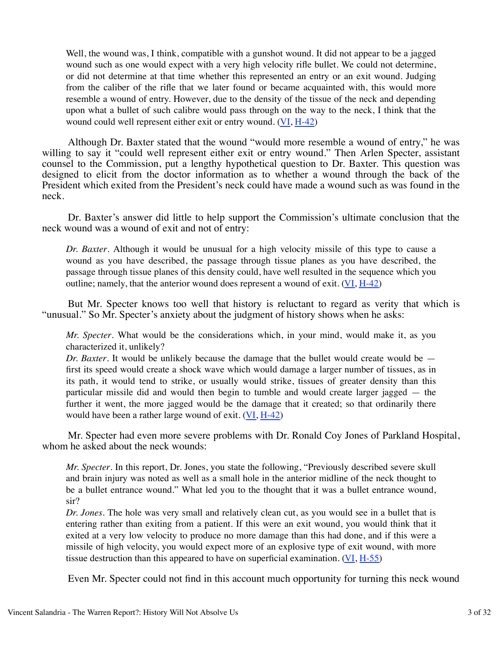Well, the wound was, I think, compatible with a gunshot wound. It did not appear to be a jagged wound such as one would expect with a very high velocity rifle bullet. We could not determine, or did not determine at that time whether this represented an entry or an exit wound. Judging from the caliber of the rifle that we later found or became acquainted with, this would more resemble a wound of entry. However, due to the density of the tissue of the neck and depending upon what a bullet of such calibre would pass through on the way to the neck, I think that the wound could well represent either exit or entry wound. (VI, H-42)

 Although Dr. Baxter stated that the wound "would more resemble a wound of entry," he was willing to say it "could well represent either exit or entry wound." Then Arlen Specter, assistant counsel to the Commission, put a lengthy hypothetical question to Dr. Baxter. This question was designed to elicit from the doctor information as to whether a wound through the back of the President which exited from the President's neck could have made a wound such as was found in the neck.

 Dr. Baxter's answer did little to help support the Commission's ultimate conclusion that the neck wound was a wound of exit and not of entry:

*Dr. Baxter*. Although it would be unusual for a high velocity missile of this type to cause a wound as you have described, the passage through tissue planes as you have described, the passage through tissue planes of this density could, have well resulted in the sequence which you outline; namely, that the anterior wound does represent a wound of exit.  $(VI, H-42)$ 

 But Mr. Specter knows too well that history is reluctant to regard as verity that which is "unusual." So Mr. Specter's anxiety about the judgment of history shows when he asks:

*Mr. Specter*. What would be the considerations which, in your mind, would make it, as you characterized it, unlikely?

*Dr. Baxter*. It would be unlikely because the damage that the bullet would create would be first its speed would create a shock wave which would damage a larger number of tissues, as in its path, it would tend to strike, or usually would strike, tissues of greater density than this particular missile did and would then begin to tumble and would create larger jagged — the further it went, the more jagged would be the damage that it created; so that ordinarily there would have been a rather large wound of exit. (VI, H-42)

 Mr. Specter had even more severe problems with Dr. Ronald Coy Jones of Parkland Hospital, whom he asked about the neck wounds:

*Mr. Specter*. In this report, Dr. Jones, you state the following, "Previously described severe skull and brain injury was noted as well as a small hole in the anterior midline of the neck thought to be a bullet entrance wound." What led you to the thought that it was a bullet entrance wound, sir?

*Dr. Jones*. The hole was very small and relatively clean cut, as you would see in a bullet that is entering rather than exiting from a patient. If this were an exit wound, you would think that it exited at a very low velocity to produce no more damage than this had done, and if this were a missile of high velocity, you would expect more of an explosive type of exit wound, with more tissue destruction than this appeared to have on superficial examination.  $(VI, H-55)$ 

Even Mr. Specter could not find in this account much opportunity for turning this neck wound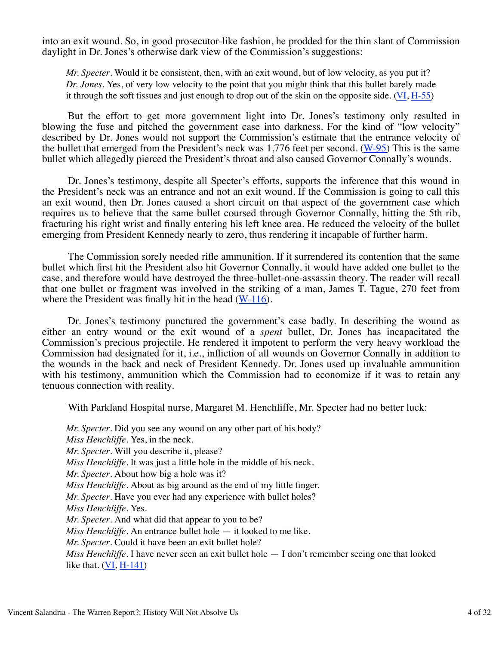into an exit wound. So, in good prosecutor-like fashion, he prodded for the thin slant of Commission daylight in Dr. Jones's otherwise dark view of the Commission's suggestions:

*Mr. Specter*. Would it be consistent, then, with an exit wound, but of low velocity, as you put it? *Dr. Jones*. Yes, of very low velocity to the point that you might think that this bullet barely made it through the soft tissues and just enough to drop out of the skin on the opposite side.  $(VI, H-55)$ 

 But the effort to get more government light into Dr. Jones's testimony only resulted in blowing the fuse and pitched the government case into darkness. For the kind of "low velocity" described by Dr. Jones would not support the Commission's estimate that the entrance velocity of the bullet that emerged from the President's neck was 1,776 feet per second. (W-95) This is the same bullet which allegedly pierced the President's throat and also caused Governor Connally's wounds.

 Dr. Jones's testimony, despite all Specter's efforts, supports the inference that this wound in the President's neck was an entrance and not an exit wound. If the Commission is going to call this an exit wound, then Dr. Jones caused a short circuit on that aspect of the government case which requires us to believe that the same bullet coursed through Governor Connally, hitting the 5th rib, fracturing his right wrist and finally entering his left knee area. He reduced the velocity of the bullet emerging from President Kennedy nearly to zero, thus rendering it incapable of further harm.

 The Commission sorely needed rifle ammunition. If it surrendered its contention that the same bullet which first hit the President also hit Governor Connally, it would have added one bullet to the case, and therefore would have destroyed the three-bullet-one-assassin theory. The reader will recall that one bullet or fragment was involved in the striking of a man, James T. Tague, 270 feet from where the President was finally hit in the head  $(W-116)$ .

 Dr. Jones's testimony punctured the government's case badly. In describing the wound as either an entry wound or the exit wound of a *spent* bullet, Dr. Jones has incapacitated the Commission's precious projectile. He rendered it impotent to perform the very heavy workload the Commission had designated for it, i.e., infliction of all wounds on Governor Connally in addition to the wounds in the back and neck of President Kennedy. Dr. Jones used up invaluable ammunition with his testimony, ammunition which the Commission had to economize if it was to retain any tenuous connection with reality.

With Parkland Hospital nurse, Margaret M. Henchliffe, Mr. Specter had no better luck:

*Mr. Specter*. Did you see any wound on any other part of his body? *Miss Henchliffe*. Yes, in the neck. *Mr. Specter*. Will you describe it, please? *Miss Henchliffe*. It was just a little hole in the middle of his neck. *Mr. Specter*. About how big a hole was it? *Miss Henchliffe*. About as big around as the end of my little finger. *Mr. Specter*. Have you ever had any experience with bullet holes? *Miss Henchliffe*. Yes. *Mr. Specter*. And what did that appear to you to be? *Miss Henchliffe*. An entrance bullet hole — it looked to me like. *Mr. Specter*. Could it have been an exit bullet hole? *Miss Henchliffe*. I have never seen an exit bullet hole  $- I$  don't remember seeing one that looked like that.  $(VI, H-141)$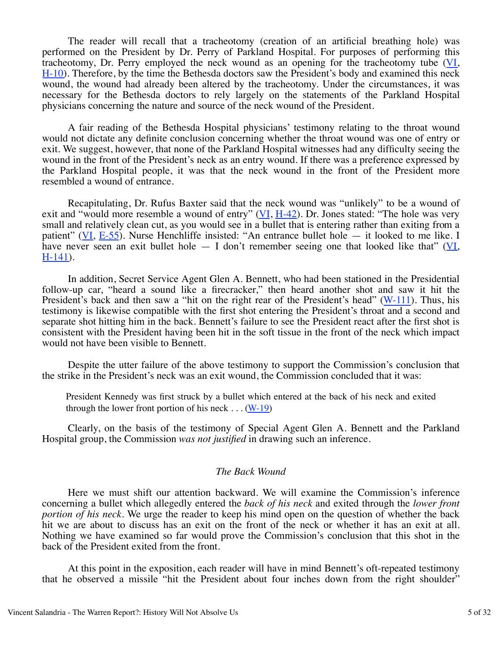The reader will recall that a tracheotomy (creation of an artificial breathing hole) was performed on the President by Dr. Perry of Parkland Hospital. For purposes of performing this tracheotomy, Dr. Perry employed the neck wound as an opening for the tracheotomy tube (VI, H-10). Therefore, by the time the Bethesda doctors saw the President's body and examined this neck wound, the wound had already been altered by the tracheotomy. Under the circumstances, it was necessary for the Bethesda doctors to rely largely on the statements of the Parkland Hospital physicians concerning the nature and source of the neck wound of the President.

 A fair reading of the Bethesda Hospital physicians' testimony relating to the throat wound would not dictate any definite conclusion concerning whether the throat wound was one of entry or exit. We suggest, however, that none of the Parkland Hospital witnesses had any difficulty seeing the wound in the front of the President's neck as an entry wound. If there was a preference expressed by the Parkland Hospital people, it was that the neck wound in the front of the President more resembled a wound of entrance.

 Recapitulating, Dr. Rufus Baxter said that the neck wound was "unlikely" to be a wound of exit and "would more resemble a wound of entry"  $(VI, H-42)$ . Dr. Jones stated: "The hole was very small and relatively clean cut, as you would see in a bullet that is entering rather than exiting from a patient" (VI,  $E-55$ ). Nurse Henchliffe insisted: "An entrance bullet hole  $-$  it looked to me like. I have never seen an exit bullet hole  $-$  I don't remember seeing one that looked like that" ( $\overline{VI}$ , H-141).

 In addition, Secret Service Agent Glen A. Bennett, who had been stationed in the Presidential follow-up car, "heard a sound like a firecracker," then heard another shot and saw it hit the President's back and then saw a "hit on the right rear of the President's head" (W-111). Thus, his testimony is likewise compatible with the first shot entering the President's throat and a second and separate shot hitting him in the back. Bennett's failure to see the President react after the first shot is consistent with the President having been hit in the soft tissue in the front of the neck which impact would not have been visible to Bennett.

 Despite the utter failure of the above testimony to support the Commission's conclusion that the strike in the President's neck was an exit wound, the Commission concluded that it was:

President Kennedy was first struck by a bullet which entered at the back of his neck and exited through the lower front portion of his neck  $\dots$  (W-19)

 Clearly, on the basis of the testimony of Special Agent Glen A. Bennett and the Parkland Hospital group, the Commission *was not justified* in drawing such an inference.

### *The Back Wound*

 Here we must shift our attention backward. We will examine the Commission's inference concerning a bullet which allegedly entered the *back of his neck* and exited through the *lower front portion of his neck*. We urge the reader to keep his mind open on the question of whether the back hit we are about to discuss has an exit on the front of the neck or whether it has an exit at all. Nothing we have examined so far would prove the Commission's conclusion that this shot in the back of the President exited from the front.

 At this point in the exposition, each reader will have in mind Bennett's oft-repeated testimony that he observed a missile "hit the President about four inches down from the right shoulder"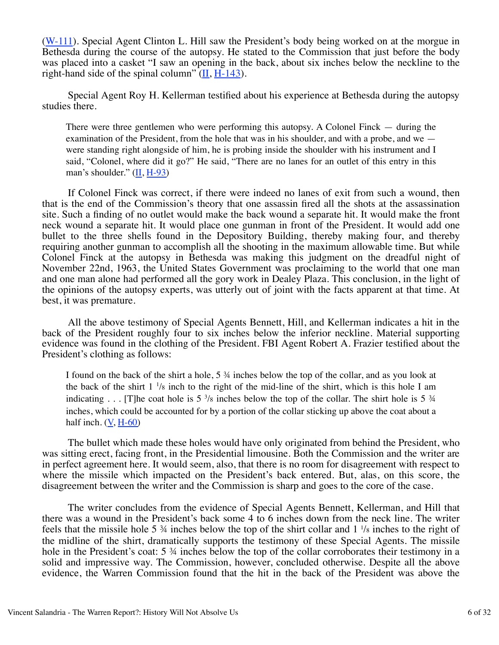(W-111). Special Agent Clinton L. Hill saw the President's body being worked on at the morgue in Bethesda during the course of the autopsy. He stated to the Commission that just before the body was placed into a casket "I saw an opening in the back, about six inches below the neckline to the right-hand side of the spinal column"  $(\underline{II}, \underline{H-143})$ .

 Special Agent Roy H. Kellerman testified about his experience at Bethesda during the autopsy studies there.

There were three gentlemen who were performing this autopsy. A Colonel Finck — during the examination of the President, from the hole that was in his shoulder, and with a probe, and we were standing right alongside of him, he is probing inside the shoulder with his instrument and I said, "Colonel, where did it go?" He said, "There are no lanes for an outlet of this entry in this man's shoulder."  $(\underline{\text{II}}, \underline{\text{H-93}})$ 

 If Colonel Finck was correct, if there were indeed no lanes of exit from such a wound, then that is the end of the Commission's theory that one assassin fired all the shots at the assassination site. Such a finding of no outlet would make the back wound a separate hit. It would make the front neck wound a separate hit. It would place one gunman in front of the President. It would add one bullet to the three shells found in the Depository Building, thereby making four, and thereby requiring another gunman to accomplish all the shooting in the maximum allowable time. But while Colonel Finck at the autopsy in Bethesda was making this judgment on the dreadful night of November 22nd, 1963, the United States Government was proclaiming to the world that one man and one man alone had performed all the gory work in Dealey Plaza. This conclusion, in the light of the opinions of the autopsy experts, was utterly out of joint with the facts apparent at that time. At best, it was premature.

 All the above testimony of Special Agents Bennett, Hill, and Kellerman indicates a hit in the back of the President roughly four to six inches below the inferior neckline. Material supporting evidence was found in the clothing of the President. FBI Agent Robert A. Frazier testified about the President's clothing as follows:

I found on the back of the shirt a hole, 5 ¾ inches below the top of the collar, and as you look at the back of the shirt  $1 \frac{1}{8}$  inch to the right of the mid-line of the shirt, which is this hole I am indicating . . . [T]he coat hole is  $5\frac{3}{8}$  inches below the top of the collar. The shirt hole is  $5\frac{3}{4}$ inches, which could be accounted for by a portion of the collar sticking up above the coat about a half inch.  $(V, H-60)$ 

 The bullet which made these holes would have only originated from behind the President, who was sitting erect, facing front, in the Presidential limousine. Both the Commission and the writer are in perfect agreement here. It would seem, also, that there is no room for disagreement with respect to where the missile which impacted on the President's back entered. But, alas, on this score, the disagreement between the writer and the Commission is sharp and goes to the core of the case.

 The writer concludes from the evidence of Special Agents Bennett, Kellerman, and Hill that there was a wound in the President's back some 4 to 6 inches down from the neck line. The writer feels that the missile hole 5  $\frac{3}{4}$  inches below the top of the shirt collar and  $1\frac{1}{8}$  inches to the right of the midline of the shirt, dramatically supports the testimony of these Special Agents. The missile hole in the President's coat: 5  $\frac{3}{4}$  inches below the top of the collar corroborates their testimony in a solid and impressive way. The Commission, however, concluded otherwise. Despite all the above evidence, the Warren Commission found that the hit in the back of the President was above the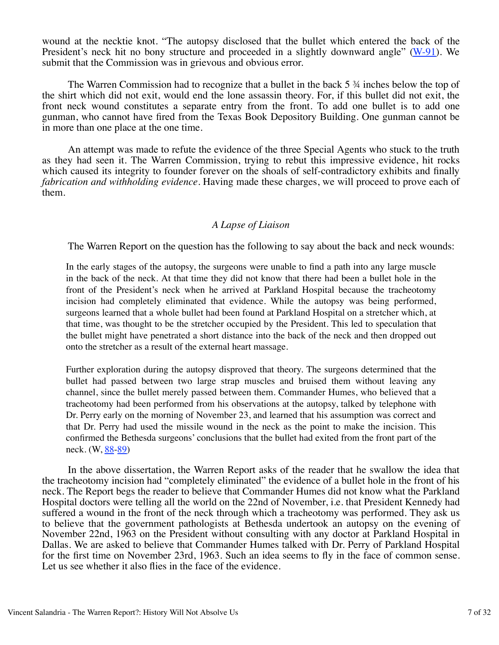wound at the necktie knot. "The autopsy disclosed that the bullet which entered the back of the President's neck hit no bony structure and proceeded in a slightly downward angle" (W-91). We submit that the Commission was in grievous and obvious error.

 The Warren Commission had to recognize that a bullet in the back 5 ¾ inches below the top of the shirt which did not exit, would end the lone assassin theory. For, if this bullet did not exit, the front neck wound constitutes a separate entry from the front. To add one bullet is to add one gunman, who cannot have fired from the Texas Book Depository Building. One gunman cannot be in more than one place at the one time.

 An attempt was made to refute the evidence of the three Special Agents who stuck to the truth as they had seen it. The Warren Commission, trying to rebut this impressive evidence, hit rocks which caused its integrity to founder forever on the shoals of self-contradictory exhibits and finally *fabrication and withholding evidence.* Having made these charges, we will proceed to prove each of them.

# *A Lapse of Liaison*

The Warren Report on the question has the following to say about the back and neck wounds:

In the early stages of the autopsy, the surgeons were unable to find a path into any large muscle in the back of the neck. At that time they did not know that there had been a bullet hole in the front of the President's neck when he arrived at Parkland Hospital because the tracheotomy incision had completely eliminated that evidence. While the autopsy was being performed, surgeons learned that a whole bullet had been found at Parkland Hospital on a stretcher which, at that time, was thought to be the stretcher occupied by the President. This led to speculation that the bullet might have penetrated a short distance into the back of the neck and then dropped out onto the stretcher as a result of the external heart massage.

Further exploration during the autopsy disproved that theory. The surgeons determined that the bullet had passed between two large strap muscles and bruised them without leaving any channel, since the bullet merely passed between them. Commander Humes, who believed that a tracheotomy had been performed from his observations at the autopsy, talked by telephone with Dr. Perry early on the morning of November 23, and learned that his assumption was correct and that Dr. Perry had used the missile wound in the neck as the point to make the incision. This confirmed the Bethesda surgeons' conclusions that the bullet had exited from the front part of the neck. (W, 88-89)

 In the above dissertation, the Warren Report asks of the reader that he swallow the idea that the tracheotomy incision had "completely eliminated" the evidence of a bullet hole in the front of his neck. The Report begs the reader to believe that Commander Humes did not know what the Parkland Hospital doctors were telling all the world on the 22nd of November, i.e. that President Kennedy had suffered a wound in the front of the neck through which a tracheotomy was performed. They ask us to believe that the government pathologists at Bethesda undertook an autopsy on the evening of November 22nd, 1963 on the President without consulting with any doctor at Parkland Hospital in Dallas. We are asked to believe that Commander Humes talked with Dr. Perry of Parkland Hospital for the first time on November 23rd, 1963. Such an idea seems to fly in the face of common sense. Let us see whether it also flies in the face of the evidence.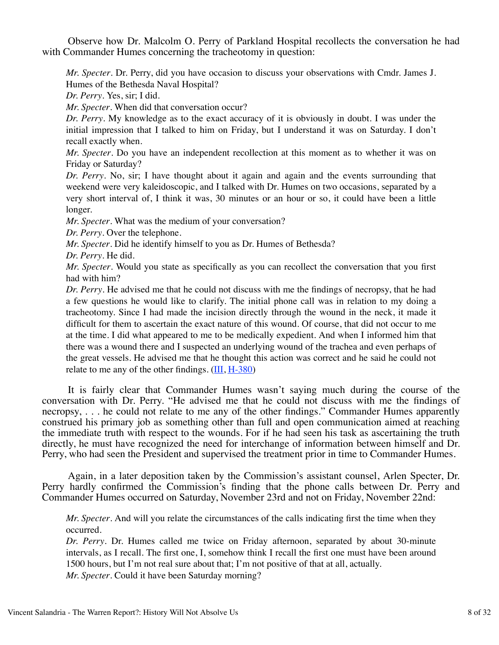Observe how Dr. Malcolm O. Perry of Parkland Hospital recollects the conversation he had with Commander Humes concerning the tracheotomy in question:

*Mr. Specter*. Dr. Perry, did you have occasion to discuss your observations with Cmdr. James J. Humes of the Bethesda Naval Hospital?

*Dr. Perry*. Yes, sir; I did.

*Mr. Specter*. When did that conversation occur?

*Dr. Perry*. My knowledge as to the exact accuracy of it is obviously in doubt. I was under the initial impression that I talked to him on Friday, but I understand it was on Saturday. I don't recall exactly when.

*Mr. Specter*. Do you have an independent recollection at this moment as to whether it was on Friday or Saturday?

*Dr. Perry*. No, sir; I have thought about it again and again and the events surrounding that weekend were very kaleidoscopic, and I talked with Dr. Humes on two occasions, separated by a very short interval of, I think it was, 30 minutes or an hour or so, it could have been a little longer.

*Mr. Specter*. What was the medium of your conversation?

*Dr. Perry*. Over the telephone.

*Mr. Specter*. Did he identify himself to you as Dr. Humes of Bethesda?

*Dr. Perry*. He did.

*Mr. Specter*. Would you state as specifically as you can recollect the conversation that you first had with him?

*Dr. Perry*. He advised me that he could not discuss with me the findings of necropsy, that he had a few questions he would like to clarify. The initial phone call was in relation to my doing a tracheotomy. Since I had made the incision directly through the wound in the neck, it made it difficult for them to ascertain the exact nature of this wound. Of course, that did not occur to me at the time. I did what appeared to me to be medically expedient. And when I informed him that there was a wound there and I suspected an underlying wound of the trachea and even perhaps of the great vessels. He advised me that he thought this action was correct and he said he could not relate to me any of the other findings.  $(III, H-380)$ 

 It is fairly clear that Commander Humes wasn't saying much during the course of the conversation with Dr. Perry. "He advised me that he could not discuss with me the findings of necropsy, . . . he could not relate to me any of the other findings." Commander Humes apparently construed his primary job as something other than full and open communication aimed at reaching the immediate truth with respect to the wounds. For if he had seen his task as ascertaining the truth directly, he must have recognized the need for interchange of information between himself and Dr. Perry, who had seen the President and supervised the treatment prior in time to Commander Humes.

 Again, in a later deposition taken by the Commission's assistant counsel, Arlen Specter, Dr. Perry hardly confirmed the Commission's finding that the phone calls between Dr. Perry and Commander Humes occurred on Saturday, November 23rd and not on Friday, November 22nd:

*Mr. Specter*. And will you relate the circumstances of the calls indicating first the time when they occurred.

*Dr. Perry*. Dr. Humes called me twice on Friday afternoon, separated by about 30-minute intervals, as I recall. The first one, I, somehow think I recall the first one must have been around 1500 hours, but I'm not real sure about that; I'm not positive of that at all, actually. *Mr. Specter*. Could it have been Saturday morning?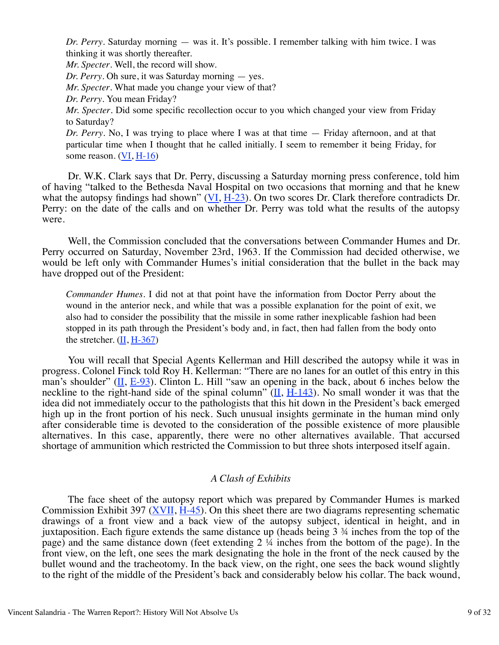*Dr. Perry*. Saturday morning — was it. It's possible. I remember talking with him twice. I was thinking it was shortly thereafter.

*Mr. Specter*. Well, the record will show.

*Dr. Perry*. Oh sure, it was Saturday morning — yes.

*Mr. Specter*. What made you change your view of that?

*Dr. Perry*. You mean Friday?

*Mr. Specter*. Did some specific recollection occur to you which changed your view from Friday to Saturday?

*Dr. Perry*. No, I was trying to place where I was at that time — Friday afternoon, and at that particular time when I thought that he called initially. I seem to remember it being Friday, for some reason. (VI, H-16)

 Dr. W.K. Clark says that Dr. Perry, discussing a Saturday morning press conference, told him of having "talked to the Bethesda Naval Hospital on two occasions that morning and that he knew what the autopsy findings had shown" (VI, H-23). On two scores Dr. Clark therefore contradicts Dr. Perry: on the date of the calls and on whether Dr. Perry was told what the results of the autopsy were.

 Well, the Commission concluded that the conversations between Commander Humes and Dr. Perry occurred on Saturday, November 23rd, 1963. If the Commission had decided otherwise, we would be left only with Commander Humes's initial consideration that the bullet in the back may have dropped out of the President:

*Commander Humes*. I did not at that point have the information from Doctor Perry about the wound in the anterior neck, and while that was a possible explanation for the point of exit, we also had to consider the possibility that the missile in some rather inexplicable fashion had been stopped in its path through the President's body and, in fact, then had fallen from the body onto the stretcher.  $(II, H-367)$ 

 You will recall that Special Agents Kellerman and Hill described the autopsy while it was in progress. Colonel Finck told Roy H. Kellerman: "There are no lanes for an outlet of this entry in this man's shoulder"  $(II, E-93)$ . Clinton L. Hill "saw an opening in the back, about 6 inches below the neckline to the right-hand side of the spinal column" ( $\overline{II}$ ,  $\overline{H}$ -143). No small wonder it was that the idea did not immediately occur to the pathologists that this hit down in the President's back emerged high up in the front portion of his neck. Such unusual insights germinate in the human mind only after considerable time is devoted to the consideration of the possible existence of more plausible alternatives. In this case, apparently, there were no other alternatives available. That accursed shortage of ammunition which restricted the Commission to but three shots interposed itself again.

### *A Clash of Exhibits*

 The face sheet of the autopsy report which was prepared by Commander Humes is marked Commission Exhibit 397  $(XVII, H-45)$ . On this sheet there are two diagrams representing schematic drawings of a front view and a back view of the autopsy subject, identical in height, and in juxtaposition. Each figure extends the same distance up (heads being 3 ¾ inches from the top of the page) and the same distance down (feet extending  $2\sqrt{4}$  inches from the bottom of the page). In the front view, on the left, one sees the mark designating the hole in the front of the neck caused by the bullet wound and the tracheotomy. In the back view, on the right, one sees the back wound slightly to the right of the middle of the President's back and considerably below his collar. The back wound,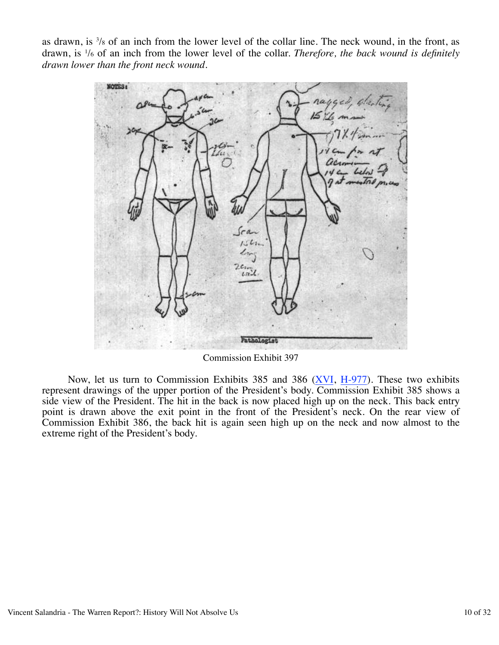as drawn, is  $\frac{3}{8}$  of an inch from the lower level of the collar line. The neck wound, in the front, as drawn, is 1 /6 of an inch from the lower level of the collar. *Therefore, the back wound is definitely drawn lower than the front neck wound.*



Commission Exhibit 397

 Now, let us turn to Commission Exhibits 385 and 386 (XVI, H-977). These two exhibits represent drawings of the upper portion of the President's body. Commission Exhibit 385 shows a side view of the President. The hit in the back is now placed high up on the neck. This back entry point is drawn above the exit point in the front of the President's neck. On the rear view of Commission Exhibit 386, the back hit is again seen high up on the neck and now almost to the extreme right of the President's body.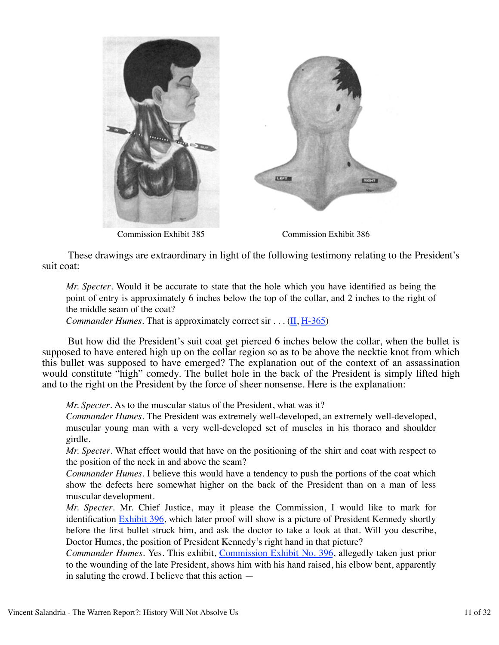



Commission Exhibit 385

Commission Exhibit 386

 These drawings are extraordinary in light of the following testimony relating to the President's suit coat:

*Mr. Specter*. Would it be accurate to state that the hole which you have identified as being the point of entry is approximately 6 inches below the top of the collar, and 2 inches to the right of the middle seam of the coat?

*Commander Humes*. That is approximately correct sir . . . (II, H-365)

 But how did the President's suit coat get pierced 6 inches below the collar, when the bullet is supposed to have entered high up on the collar region so as to be above the necktie knot from which this bullet was supposed to have emerged? The explanation out of the context of an assassination would constitute "high" comedy. The bullet hole in the back of the President is simply lifted high and to the right on the President by the force of sheer nonsense. Here is the explanation:

*Mr. Specter*. As to the muscular status of the President, what was it?

*Commander Humes*. The President was extremely well-developed, an extremely well-developed, muscular young man with a very well-developed set of muscles in his thoraco and shoulder girdle.

*Mr. Specter*. What effect would that have on the positioning of the shirt and coat with respect to the position of the neck in and above the seam?

*Commander Humes*. I believe this would have a tendency to push the portions of the coat which show the defects here somewhat higher on the back of the President than on a man of less muscular development.

*Mr. Specter*. Mr. Chief Justice, may it please the Commission, I would like to mark for identification **Exhibit 396**, which later proof will show is a picture of President Kennedy shortly before the first bullet struck him, and ask the doctor to take a look at that. Will you describe, Doctor Humes, the position of President Kennedy's right hand in that picture?

*Commander Humes*. Yes. This exhibit, Commission Exhibit No. 396, allegedly taken just prior to the wounding of the late President, shows him with his hand raised, his elbow bent, apparently in saluting the crowd. I believe that this action —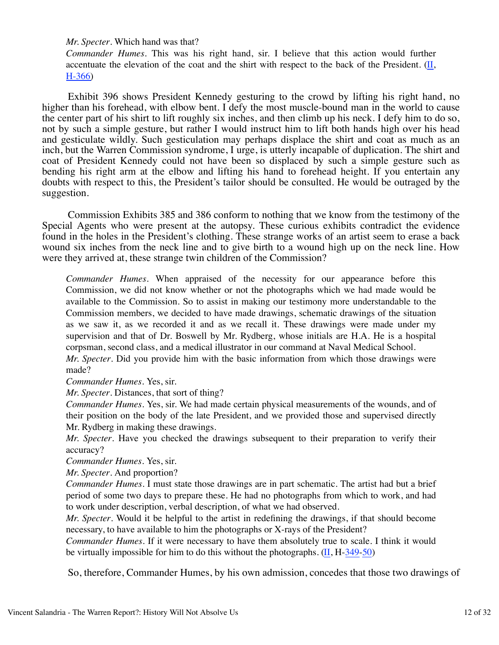*Mr. Specter*. Which hand was that?

*Commander Humes*. This was his right hand, sir. I believe that this action would further accentuate the elevation of the coat and the shirt with respect to the back of the President.  $(II, I)$ H-366)

 Exhibit 396 shows President Kennedy gesturing to the crowd by lifting his right hand, no higher than his forehead, with elbow bent. I defy the most muscle-bound man in the world to cause the center part of his shirt to lift roughly six inches, and then climb up his neck. I defy him to do so, not by such a simple gesture, but rather I would instruct him to lift both hands high over his head and gesticulate wildly. Such gesticulation may perhaps displace the shirt and coat as much as an inch, but the Warren Commission syndrome, I urge, is utterly incapable of duplication. The shirt and coat of President Kennedy could not have been so displaced by such a simple gesture such as bending his right arm at the elbow and lifting his hand to forehead height. If you entertain any doubts with respect to this, the President's tailor should be consulted. He would be outraged by the suggestion.

 Commission Exhibits 385 and 386 conform to nothing that we know from the testimony of the Special Agents who were present at the autopsy. These curious exhibits contradict the evidence found in the holes in the President's clothing. These strange works of an artist seem to erase a back wound six inches from the neck line and to give birth to a wound high up on the neck line. How were they arrived at, these strange twin children of the Commission?

*Commander Humes*. When appraised of the necessity for our appearance before this Commission, we did not know whether or not the photographs which we had made would be available to the Commission. So to assist in making our testimony more understandable to the Commission members, we decided to have made drawings, schematic drawings of the situation as we saw it, as we recorded it and as we recall it. These drawings were made under my supervision and that of Dr. Boswell by Mr. Rydberg, whose initials are H.A. He is a hospital corpsman, second class, and a medical illustrator in our command at Naval Medical School. *Mr. Specter*. Did you provide him with the basic information from which those drawings were

made?

*Commander Humes*. Yes, sir.

*Mr. Specter*. Distances, that sort of thing?

*Commander Humes*. Yes, sir. We had made certain physical measurements of the wounds, and of their position on the body of the late President, and we provided those and supervised directly Mr. Rydberg in making these drawings.

*Mr. Specter*. Have you checked the drawings subsequent to their preparation to verify their accuracy?

*Commander Humes*. Yes, sir.

*Mr. Specter*. And proportion?

*Commander Humes*. I must state those drawings are in part schematic. The artist had but a brief period of some two days to prepare these. He had no photographs from which to work, and had to work under description, verbal description, of what we had observed.

*Mr. Specter*. Would it be helpful to the artist in redefining the drawings, if that should become necessary, to have available to him the photographs or X-rays of the President?

*Commander Humes*. If it were necessary to have them absolutely true to scale. I think it would be virtually impossible for him to do this without the photographs.  $(II, H-349-50)$ 

So, therefore, Commander Humes, by his own admission, concedes that those two drawings of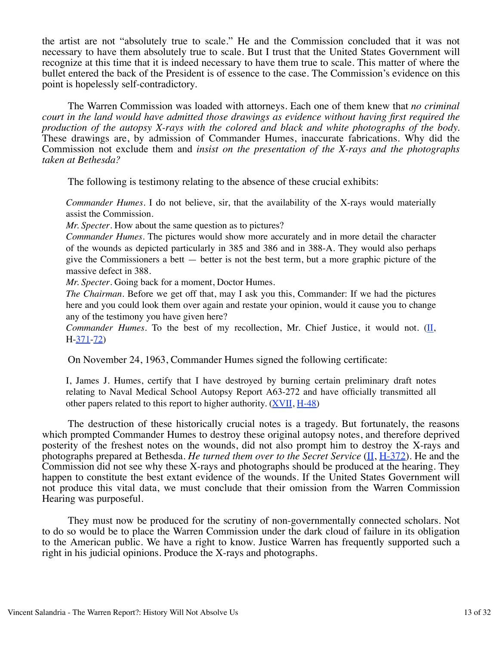the artist are not "absolutely true to scale." He and the Commission concluded that it was not necessary to have them absolutely true to scale. But I trust that the United States Government will recognize at this time that it is indeed necessary to have them true to scale. This matter of where the bullet entered the back of the President is of essence to the case. The Commission's evidence on this point is hopelessly self-contradictory.

 The Warren Commission was loaded with attorneys. Each one of them knew that *no criminal court in the land would have admitted those drawings as evidence without having first required the production of the autopsy X-rays with the colored and black and white photographs of the body.* These drawings are, by admission of Commander Humes, inaccurate fabrications. Why did the Commission not exclude them and *insist on the presentation of the X-rays and the photographs taken at Bethesda?*

The following is testimony relating to the absence of these crucial exhibits:

*Commander Humes*. I do not believe, sir, that the availability of the X-rays would materially assist the Commission.

*Mr. Specter*. How about the same question as to pictures?

*Commander Humes*. The pictures would show more accurately and in more detail the character of the wounds as depicted particularly in 385 and 386 and in 388-A. They would also perhaps give the Commissioners a bett  $-$  better is not the best term, but a more graphic picture of the massive defect in 388.

*Mr. Specter*. Going back for a moment, Doctor Humes.

*The Chairman*. Before we get off that, may I ask you this, Commander: If we had the pictures here and you could look them over again and restate your opinion, would it cause you to change any of the testimony you have given here?

*Commander Humes*. To the best of my recollection, Mr. Chief Justice, it would not. (II, H-371-72)

On November 24, 1963, Commander Humes signed the following certificate:

I, James J. Humes, certify that I have destroyed by burning certain preliminary draft notes relating to Naval Medical School Autopsy Report A63-272 and have officially transmitted all other papers related to this report to higher authority. (XVII, H-48)

 The destruction of these historically crucial notes is a tragedy. But fortunately, the reasons which prompted Commander Humes to destroy these original autopsy notes, and therefore deprived posterity of the freshest notes on the wounds, did not also prompt him to destroy the X-rays and photographs prepared at Bethesda. *He turned them over to the Secret Service* (II, H-372). He and the Commission did not see why these X-rays and photographs should be produced at the hearing. They happen to constitute the best extant evidence of the wounds. If the United States Government will not produce this vital data, we must conclude that their omission from the Warren Commission Hearing was purposeful.

 They must now be produced for the scrutiny of non-governmentally connected scholars. Not to do so would be to place the Warren Commission under the dark cloud of failure in its obligation to the American public. We have a right to know. Justice Warren has frequently supported such a right in his judicial opinions. Produce the X-rays and photographs.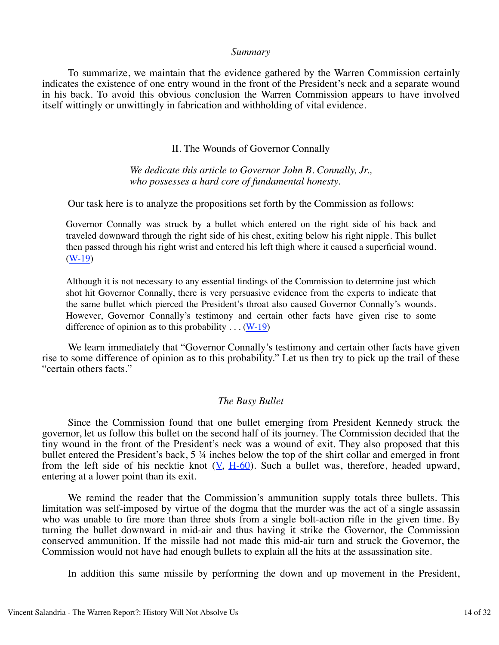#### *Summary*

 To summarize, we maintain that the evidence gathered by the Warren Commission certainly indicates the existence of one entry wound in the front of the President's neck and a separate wound in his back. To avoid this obvious conclusion the Warren Commission appears to have involved itself wittingly or unwittingly in fabrication and withholding of vital evidence.

#### II. The Wounds of Governor Connally

### *We dedicate this article to Governor John B. Connally, Jr., who possesses a hard core of fundamental honesty.*

Our task here is to analyze the propositions set forth by the Commission as follows:

Governor Connally was struck by a bullet which entered on the right side of his back and traveled downward through the right side of his chest, exiting below his right nipple. This bullet then passed through his right wrist and entered his left thigh where it caused a superficial wound. (W-19)

Although it is not necessary to any essential findings of the Commission to determine just which shot hit Governor Connally, there is very persuasive evidence from the experts to indicate that the same bullet which pierced the President's throat also caused Governor Connally's wounds. However, Governor Connally's testimony and certain other facts have given rise to some difference of opinion as to this probability  $\dots$  (W-19)

We learn immediately that "Governor Connally's testimony and certain other facts have given rise to some difference of opinion as to this probability." Let us then try to pick up the trail of these "certain others facts."

#### *The Busy Bullet*

 Since the Commission found that one bullet emerging from President Kennedy struck the governor, let us follow this bullet on the second half of its journey. The Commission decided that the tiny wound in the front of the President's neck was a wound of exit. They also proposed that this bullet entered the President's back, 5 ¾ inches below the top of the shirt collar and emerged in front from the left side of his necktie knot  $(V, H-60)$ . Such a bullet was, therefore, headed upward, entering at a lower point than its exit.

 We remind the reader that the Commission's ammunition supply totals three bullets. This limitation was self-imposed by virtue of the dogma that the murder was the act of a single assassin who was unable to fire more than three shots from a single bolt-action rifle in the given time. By turning the bullet downward in mid-air and thus having it strike the Governor, the Commission conserved ammunition. If the missile had not made this mid-air turn and struck the Governor, the Commission would not have had enough bullets to explain all the hits at the assassination site.

In addition this same missile by performing the down and up movement in the President,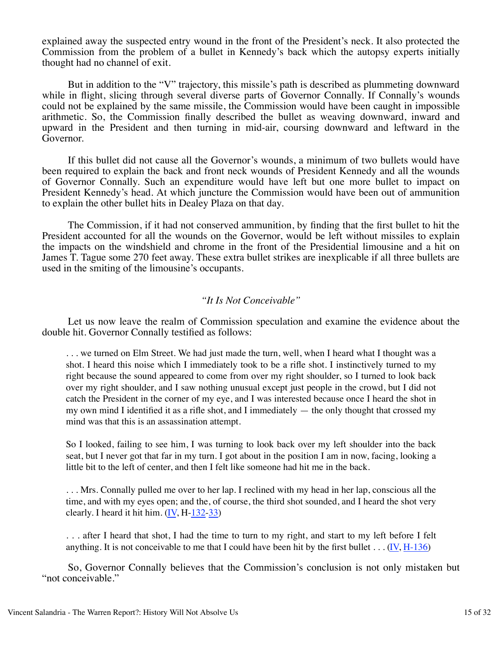explained away the suspected entry wound in the front of the President's neck. It also protected the Commission from the problem of a bullet in Kennedy's back which the autopsy experts initially thought had no channel of exit.

 But in addition to the "V" trajectory, this missile's path is described as plummeting downward while in flight, slicing through several diverse parts of Governor Connally. If Connally's wounds could not be explained by the same missile, the Commission would have been caught in impossible arithmetic. So, the Commission finally described the bullet as weaving downward, inward and upward in the President and then turning in mid-air, coursing downward and leftward in the Governor.

 If this bullet did not cause all the Governor's wounds, a minimum of two bullets would have been required to explain the back and front neck wounds of President Kennedy and all the wounds of Governor Connally. Such an expenditure would have left but one more bullet to impact on President Kennedy's head. At which juncture the Commission would have been out of ammunition to explain the other bullet hits in Dealey Plaza on that day.

 The Commission, if it had not conserved ammunition, by finding that the first bullet to hit the President accounted for all the wounds on the Governor, would be left without missiles to explain the impacts on the windshield and chrome in the front of the Presidential limousine and a hit on James T. Tague some 270 feet away. These extra bullet strikes are inexplicable if all three bullets are used in the smiting of the limousine's occupants.

#### *"It Is Not Conceivable"*

 Let us now leave the realm of Commission speculation and examine the evidence about the double hit. Governor Connally testified as follows:

. . . we turned on Elm Street. We had just made the turn, well, when I heard what I thought was a shot. I heard this noise which I immediately took to be a rifle shot. I instinctively turned to my right because the sound appeared to come from over my right shoulder, so I turned to look back over my right shoulder, and I saw nothing unusual except just people in the crowd, but I did not catch the President in the corner of my eye, and I was interested because once I heard the shot in my own mind I identified it as a rifle shot, and I immediately — the only thought that crossed my mind was that this is an assassination attempt.

So I looked, failing to see him, I was turning to look back over my left shoulder into the back seat, but I never got that far in my turn. I got about in the position I am in now, facing, looking a little bit to the left of center, and then I felt like someone had hit me in the back.

. . . Mrs. Connally pulled me over to her lap. I reclined with my head in her lap, conscious all the time, and with my eyes open; and the, of course, the third shot sounded, and I heard the shot very clearly. I heard it hit him. (IV, H-132-33)

. . . after I heard that shot, I had the time to turn to my right, and start to my left before I felt anything. It is not conceivable to me that I could have been hit by the first bullet  $\dots (IV, H-136)$ 

 So, Governor Connally believes that the Commission's conclusion is not only mistaken but "not conceivable."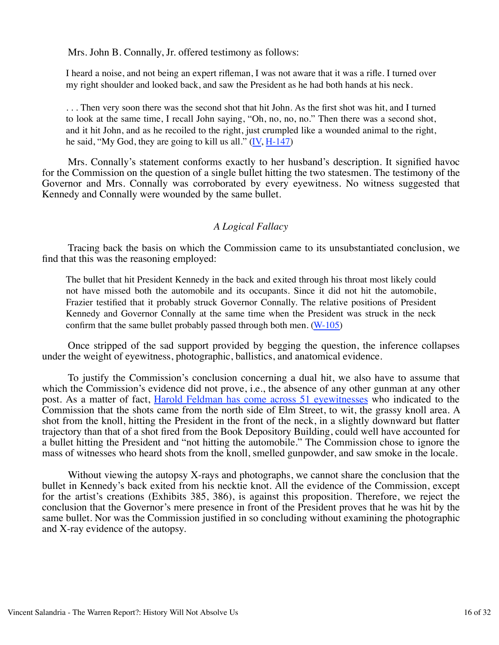Mrs. John B. Connally, Jr. offered testimony as follows:

I heard a noise, and not being an expert rifleman, I was not aware that it was a rifle. I turned over my right shoulder and looked back, and saw the President as he had both hands at his neck.

. . . Then very soon there was the second shot that hit John. As the first shot was hit, and I turned to look at the same time, I recall John saying, "Oh, no, no, no." Then there was a second shot, and it hit John, and as he recoiled to the right, just crumpled like a wounded animal to the right, he said, "My God, they are going to kill us all." (IV, H-147)

 Mrs. Connally's statement conforms exactly to her husband's description. It signified havoc for the Commission on the question of a single bullet hitting the two statesmen. The testimony of the Governor and Mrs. Connally was corroborated by every eyewitness. No witness suggested that Kennedy and Connally were wounded by the same bullet.

### *A Logical Fallacy*

 Tracing back the basis on which the Commission came to its unsubstantiated conclusion, we find that this was the reasoning employed:

The bullet that hit President Kennedy in the back and exited through his throat most likely could not have missed both the automobile and its occupants. Since it did not hit the automobile, Frazier testified that it probably struck Governor Connally. The relative positions of President Kennedy and Governor Connally at the same time when the President was struck in the neck confirm that the same bullet probably passed through both men. (W-105)

 Once stripped of the sad support provided by begging the question, the inference collapses under the weight of eyewitness, photographic, ballistics, and anatomical evidence.

 To justify the Commission's conclusion concerning a dual hit, we also have to assume that which the Commission's evidence did not prove, i.e., the absence of any other gunman at any other post. As a matter of fact, Harold Feldman has come across 51 eyewitnesses who indicated to the Commission that the shots came from the north side of Elm Street, to wit, the grassy knoll area. A shot from the knoll, hitting the President in the front of the neck, in a slightly downward but flatter trajectory than that of a shot fired from the Book Depository Building, could well have accounted for a bullet hitting the President and "not hitting the automobile." The Commission chose to ignore the mass of witnesses who heard shots from the knoll, smelled gunpowder, and saw smoke in the locale.

 Without viewing the autopsy X-rays and photographs, we cannot share the conclusion that the bullet in Kennedy's back exited from his necktie knot. All the evidence of the Commission, except for the artist's creations (Exhibits 385, 386), is against this proposition. Therefore, we reject the conclusion that the Governor's mere presence in front of the President proves that he was hit by the same bullet. Nor was the Commission justified in so concluding without examining the photographic and X-ray evidence of the autopsy.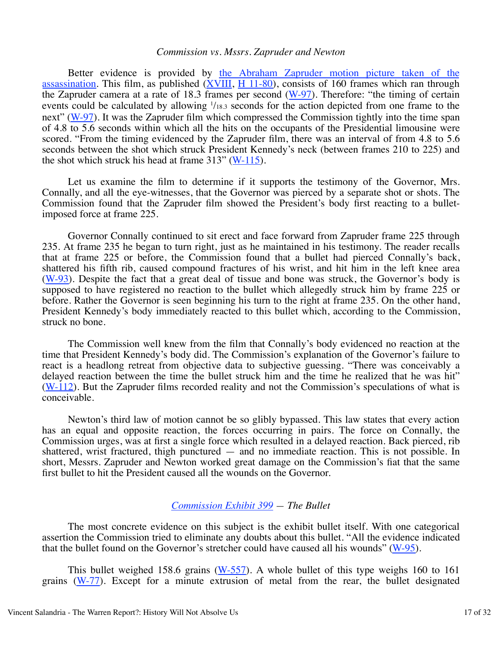#### *Commission vs. Mssrs. Zapruder and Newton*

 Better evidence is provided by the Abraham Zapruder motion picture taken of the assassination. This film, as published  $(XVIII, H 11-80)$ , consists of 160 frames which ran through the Zapruder camera at a rate of 18.3 frames per second (W-97). Therefore: "the timing of certain events could be calculated by allowing  $\frac{1}{18.3}$  seconds for the action depicted from one frame to the next" (W-97). It was the Zapruder film which compressed the Commission tightly into the time span of 4.8 to 5.6 seconds within which all the hits on the occupants of the Presidential limousine were scored. "From the timing evidenced by the Zapruder film, there was an interval of from 4.8 to 5.6 seconds between the shot which struck President Kennedy's neck (between frames 210 to 225) and the shot which struck his head at frame  $313''$  (W- $115$ ).

 Let us examine the film to determine if it supports the testimony of the Governor, Mrs. Connally, and all the eye-witnesses, that the Governor was pierced by a separate shot or shots. The Commission found that the Zapruder film showed the President's body first reacting to a bulletimposed force at frame 225.

 Governor Connally continued to sit erect and face forward from Zapruder frame 225 through 235. At frame 235 he began to turn right, just as he maintained in his testimony. The reader recalls that at frame 225 or before, the Commission found that a bullet had pierced Connally's back, shattered his fifth rib, caused compound fractures of his wrist, and hit him in the left knee area  $(W-93)$ . Despite the fact that a great deal of tissue and bone was struck, the Governor's body is supposed to have registered no reaction to the bullet which allegedly struck him by frame 225 or before. Rather the Governor is seen beginning his turn to the right at frame 235. On the other hand, President Kennedy's body immediately reacted to this bullet which, according to the Commission, struck no bone.

 The Commission well knew from the film that Connally's body evidenced no reaction at the time that President Kennedy's body did. The Commission's explanation of the Governor's failure to react is a headlong retreat from objective data to subjective guessing. "There was conceivably a delayed reaction between the time the bullet struck him and the time he realized that he was hit"  $(W-112)$ . But the Zapruder films recorded reality and not the Commission's speculations of what is conceivable.

 Newton's third law of motion cannot be so glibly bypassed. This law states that every action has an equal and opposite reaction, the forces occurring in pairs. The force on Connally, the Commission urges, was at first a single force which resulted in a delayed reaction. Back pierced, rib shattered, wrist fractured, thigh punctured — and no immediate reaction. This is not possible. In short, Messrs. Zapruder and Newton worked great damage on the Commission's fiat that the same first bullet to hit the President caused all the wounds on the Governor.

### *Commission Exhibit 399 — The Bullet*

 The most concrete evidence on this subject is the exhibit bullet itself. With one categorical assertion the Commission tried to eliminate any doubts about this bullet. "All the evidence indicated that the bullet found on the Governor's stretcher could have caused all his wounds" (W-95).

 This bullet weighed 158.6 grains (W-557). A whole bullet of this type weighs 160 to 161 grains (W-77). Except for a minute extrusion of metal from the rear, the bullet designated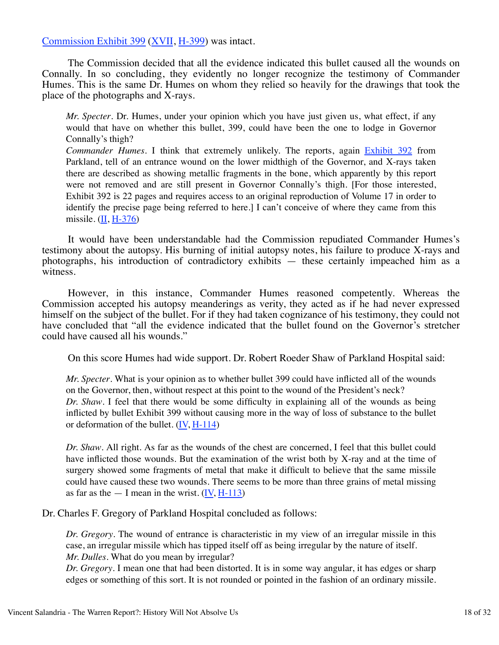Commission Exhibit 399 (XVII, H-399) was intact.

 The Commission decided that all the evidence indicated this bullet caused all the wounds on Connally. In so concluding, they evidently no longer recognize the testimony of Commander Humes. This is the same Dr. Humes on whom they relied so heavily for the drawings that took the place of the photographs and X-rays.

*Mr. Specter*. Dr. Humes, under your opinion which you have just given us, what effect, if any would that have on whether this bullet, 399, could have been the one to lodge in Governor Connally's thigh?

*Commander Humes*. I think that extremely unlikely. The reports, again Exhibit 392 from Parkland, tell of an entrance wound on the lower midthigh of the Governor, and X-rays taken there are described as showing metallic fragments in the bone, which apparently by this report were not removed and are still present in Governor Connally's thigh. [For those interested, Exhibit 392 is 22 pages and requires access to an original reproduction of Volume 17 in order to identify the precise page being referred to here.] I can't conceive of where they came from this missile.  $(II, H-376)$ 

 It would have been understandable had the Commission repudiated Commander Humes's testimony about the autopsy. His burning of initial autopsy notes, his failure to produce X-rays and photographs, his introduction of contradictory exhibits — these certainly impeached him as a witness.

 However, in this instance, Commander Humes reasoned competently. Whereas the Commission accepted his autopsy meanderings as verity, they acted as if he had never expressed himself on the subject of the bullet. For if they had taken cognizance of his testimony, they could not have concluded that "all the evidence indicated that the bullet found on the Governor's stretcher could have caused all his wounds."

On this score Humes had wide support. Dr. Robert Roeder Shaw of Parkland Hospital said:

*Mr. Specter*. What is your opinion as to whether bullet 399 could have inflicted all of the wounds on the Governor, then, without respect at this point to the wound of the President's neck? *Dr. Shaw*. I feel that there would be some difficulty in explaining all of the wounds as being inflicted by bullet Exhibit 399 without causing more in the way of loss of substance to the bullet or deformation of the bullet.  $(IV, H-114)$ 

*Dr. Shaw*. All right. As far as the wounds of the chest are concerned, I feel that this bullet could have inflicted those wounds. But the examination of the wrist both by X-ray and at the time of surgery showed some fragments of metal that make it difficult to believe that the same missile could have caused these two wounds. There seems to be more than three grains of metal missing as far as the  $- I$  mean in the wrist. (IV,  $H-113$ )

Dr. Charles F. Gregory of Parkland Hospital concluded as follows:

*Dr. Gregory*. The wound of entrance is characteristic in my view of an irregular missile in this case, an irregular missile which has tipped itself off as being irregular by the nature of itself. *Mr. Dulles*. What do you mean by irregular?

*Dr. Gregory*. I mean one that had been distorted. It is in some way angular, it has edges or sharp edges or something of this sort. It is not rounded or pointed in the fashion of an ordinary missile.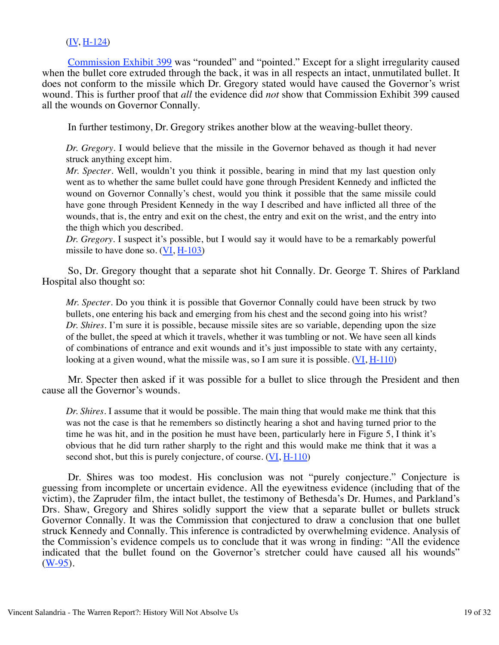# (IV, H-124)

 Commission Exhibit 399 was "rounded" and "pointed." Except for a slight irregularity caused when the bullet core extruded through the back, it was in all respects an intact, unmutilated bullet. It does not conform to the missile which Dr. Gregory stated would have caused the Governor's wrist wound. This is further proof that *all* the evidence did *not* show that Commission Exhibit 399 caused all the wounds on Governor Connally.

In further testimony, Dr. Gregory strikes another blow at the weaving-bullet theory.

*Dr. Gregory*. I would believe that the missile in the Governor behaved as though it had never struck anything except him.

*Mr. Specter*. Well, wouldn't you think it possible, bearing in mind that my last question only went as to whether the same bullet could have gone through President Kennedy and inflicted the wound on Governor Connally's chest, would you think it possible that the same missile could have gone through President Kennedy in the way I described and have inflicted all three of the wounds, that is, the entry and exit on the chest, the entry and exit on the wrist, and the entry into the thigh which you described.

*Dr. Gregory*. I suspect it's possible, but I would say it would have to be a remarkably powerful missile to have done so. (VI, H-103)

 So, Dr. Gregory thought that a separate shot hit Connally. Dr. George T. Shires of Parkland Hospital also thought so:

*Mr. Specter*. Do you think it is possible that Governor Connally could have been struck by two bullets, one entering his back and emerging from his chest and the second going into his wrist? *Dr. Shires*. I'm sure it is possible, because missile sites are so variable, depending upon the size of the bullet, the speed at which it travels, whether it was tumbling or not. We have seen all kinds of combinations of entrance and exit wounds and it's just impossible to state with any certainty, looking at a given wound, what the missile was, so I am sure it is possible. (VI, H-110)

 Mr. Specter then asked if it was possible for a bullet to slice through the President and then cause all the Governor's wounds.

*Dr. Shires*. I assume that it would be possible. The main thing that would make me think that this was not the case is that he remembers so distinctly hearing a shot and having turned prior to the time he was hit, and in the position he must have been, particularly here in Figure 5, I think it's obvious that he did turn rather sharply to the right and this would make me think that it was a second shot, but this is purely conjecture, of course.  $(VI, H-110)$ 

 Dr. Shires was too modest. His conclusion was not "purely conjecture." Conjecture is guessing from incomplete or uncertain evidence. All the eyewitness evidence (including that of the victim), the Zapruder film, the intact bullet, the testimony of Bethesda's Dr. Humes, and Parkland's Drs. Shaw, Gregory and Shires solidly support the view that a separate bullet or bullets struck Governor Connally. It was the Commission that conjectured to draw a conclusion that one bullet struck Kennedy and Connally. This inference is contradicted by overwhelming evidence. Analysis of the Commission's evidence compels us to conclude that it was wrong in finding: "All the evidence indicated that the bullet found on the Governor's stretcher could have caused all his wounds"  $(**W-95**)$ .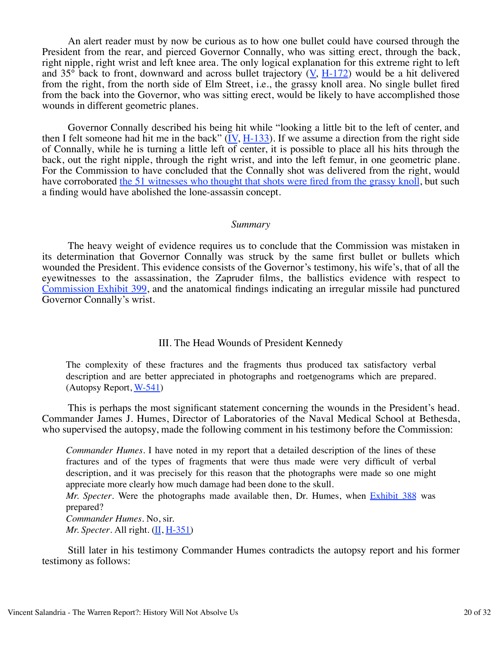An alert reader must by now be curious as to how one bullet could have coursed through the President from the rear, and pierced Governor Connally, who was sitting erect, through the back, right nipple, right wrist and left knee area. The only logical explanation for this extreme right to left and  $35^\circ$  back to front, downward and across bullet trajectory (V, H-172) would be a hit delivered from the right, from the north side of Elm Street, i.e., the grassy knoll area. No single bullet fired from the back into the Governor, who was sitting erect, would be likely to have accomplished those wounds in different geometric planes.

 Governor Connally described his being hit while "looking a little bit to the left of center, and then I felt someone had hit me in the back"  $(IV, H-133)$ . If we assume a direction from the right side of Connally, while he is turning a little left of center, it is possible to place all his hits through the back, out the right nipple, through the right wrist, and into the left femur, in one geometric plane. For the Commission to have concluded that the Connally shot was delivered from the right, would have corroborated the 51 witnesses who thought that shots were fired from the grassy knoll, but such a finding would have abolished the lone-assassin concept.

#### *Summary*

 The heavy weight of evidence requires us to conclude that the Commission was mistaken in its determination that Governor Connally was struck by the same first bullet or bullets which wounded the President. This evidence consists of the Governor's testimony, his wife's, that of all the eyewitnesses to the assassination, the Zapruder films, the ballistics evidence with respect to Commission Exhibit 399, and the anatomical findings indicating an irregular missile had punctured Governor Connally's wrist.

### III. The Head Wounds of President Kennedy

The complexity of these fractures and the fragments thus produced tax satisfactory verbal description and are better appreciated in photographs and roetgenograms which are prepared. (Autopsy Report,  $W-541$ )

 This is perhaps the most significant statement concerning the wounds in the President's head. Commander James J. Humes, Director of Laboratories of the Naval Medical School at Bethesda, who supervised the autopsy, made the following comment in his testimony before the Commission:

*Commander Humes*. I have noted in my report that a detailed description of the lines of these fractures and of the types of fragments that were thus made were very difficult of verbal description, and it was precisely for this reason that the photographs were made so one might appreciate more clearly how much damage had been done to the skull.

*Mr. Specter*. Were the photographs made available then, Dr. Humes, when Exhibit 388 was prepared?

*Commander Humes*. No, sir. *Mr. Specter.* All right.  $(\underline{\text{II}}, \underline{\text{H-351}})$ 

 Still later in his testimony Commander Humes contradicts the autopsy report and his former testimony as follows: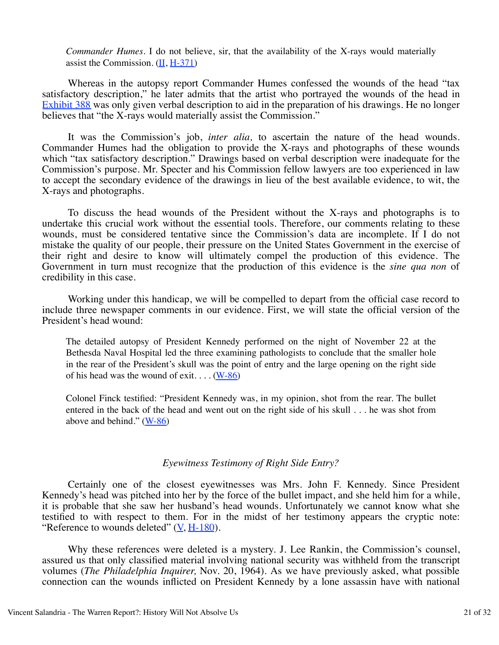*Commander Humes*. I do not believe, sir, that the availability of the X-rays would materially assist the Commission.  $(II, H-371)$ 

 Whereas in the autopsy report Commander Humes confessed the wounds of the head "tax satisfactory description," he later admits that the artist who portrayed the wounds of the head in Exhibit 388 was only given verbal description to aid in the preparation of his drawings. He no longer believes that "the X-rays would materially assist the Commission."

 It was the Commission's job, *inter alia,* to ascertain the nature of the head wounds. Commander Humes had the obligation to provide the X-rays and photographs of these wounds which "tax satisfactory description." Drawings based on verbal description were inadequate for the Commission's purpose. Mr. Specter and his Commission fellow lawyers are too experienced in law to accept the secondary evidence of the drawings in lieu of the best available evidence, to wit, the X-rays and photographs.

 To discuss the head wounds of the President without the X-rays and photographs is to undertake this crucial work without the essential tools. Therefore, our comments relating to these wounds, must be considered tentative since the Commission's data are incomplete. If I do not mistake the quality of our people, their pressure on the United States Government in the exercise of their right and desire to know will ultimately compel the production of this evidence. The Government in turn must recognize that the production of this evidence is the *sine qua non* of credibility in this case.

 Working under this handicap, we will be compelled to depart from the official case record to include three newspaper comments in our evidence. First, we will state the official version of the President's head wound:

The detailed autopsy of President Kennedy performed on the night of November 22 at the Bethesda Naval Hospital led the three examining pathologists to conclude that the smaller hole in the rear of the President's skull was the point of entry and the large opening on the right side of his head was the wound of exit.  $\dots$  (W-86)

Colonel Finck testified: "President Kennedy was, in my opinion, shot from the rear. The bullet entered in the back of the head and went out on the right side of his skull . . . he was shot from above and behind."  $(W-86)$ 

### *Eyewitness Testimony of Right Side Entry?*

 Certainly one of the closest eyewitnesses was Mrs. John F. Kennedy. Since President Kennedy's head was pitched into her by the force of the bullet impact, and she held him for a while, it is probable that she saw her husband's head wounds. Unfortunately we cannot know what she testified to with respect to them. For in the midst of her testimony appears the cryptic note: "Reference to wounds deleted"  $(\underline{V}, \underline{H} - 180)$ .

 Why these references were deleted is a mystery. J. Lee Rankin, the Commission's counsel, assured us that only classified material involving national security was withheld from the transcript volumes (*The Philadelphia Inquirer,* Nov. 20, 1964). As we have previously asked, what possible connection can the wounds inflicted on President Kennedy by a lone assassin have with national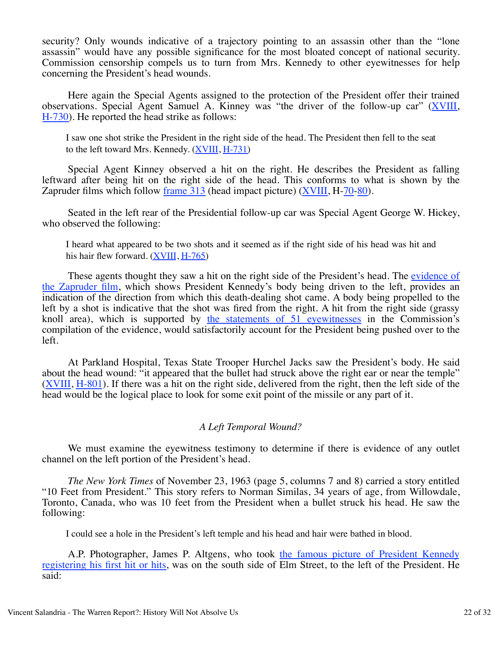security? Only wounds indicative of a trajectory pointing to an assassin other than the "lone assassin" would have any possible significance for the most bloated concept of national security. Commission censorship compels us to turn from Mrs. Kennedy to other eyewitnesses for help concerning the President's head wounds.

 Here again the Special Agents assigned to the protection of the President offer their trained observations. Special Agent Samuel A. Kinney was "the driver of the follow-up car" (XVIII, H-730). He reported the head strike as follows:

I saw one shot strike the President in the right side of the head. The President then fell to the seat to the left toward Mrs. Kennedy. (XVIII, H-731)

 Special Agent Kinney observed a hit on the right. He describes the President as falling leftward after being hit on the right side of the head. This conforms to what is shown by the Zapruder films which follow frame 313 (head impact picture) (XVIII, H-70-80).

 Seated in the left rear of the Presidential follow-up car was Special Agent George W. Hickey, who observed the following:

I heard what appeared to be two shots and it seemed as if the right side of his head was hit and his hair flew forward. (XVIII, H-765)

These agents thought they saw a hit on the right side of the President's head. The evidence of the Zapruder film, which shows President Kennedy's body being driven to the left, provides an indication of the direction from which this death-dealing shot came. A body being propelled to the left by a shot is indicative that the shot was fired from the right. A hit from the right side (grassy knoll area), which is supported by the statements of 51 eyewitnesses in the Commission's compilation of the evidence, would satisfactorily account for the President being pushed over to the left.

 At Parkland Hospital, Texas State Trooper Hurchel Jacks saw the President's body. He said about the head wound: "it appeared that the bullet had struck above the right ear or near the temple" (XVIII, H-801). If there was a hit on the right side, delivered from the right, then the left side of the head would be the logical place to look for some exit point of the missile or any part of it.

### *A Left Temporal Wound?*

We must examine the eyewitness testimony to determine if there is evidence of any outlet channel on the left portion of the President's head.

 *The New York Times* of November 23, 1963 (page 5, columns 7 and 8) carried a story entitled "10 Feet from President." This story refers to Norman Similas, 34 years of age, from Willowdale, Toronto, Canada, who was 10 feet from the President when a bullet struck his head. He saw the following:

I could see a hole in the President's left temple and his head and hair were bathed in blood.

 A.P. Photographer, James P. Altgens, who took the famous picture of President Kennedy registering his first hit or hits, was on the south side of Elm Street, to the left of the President. He said: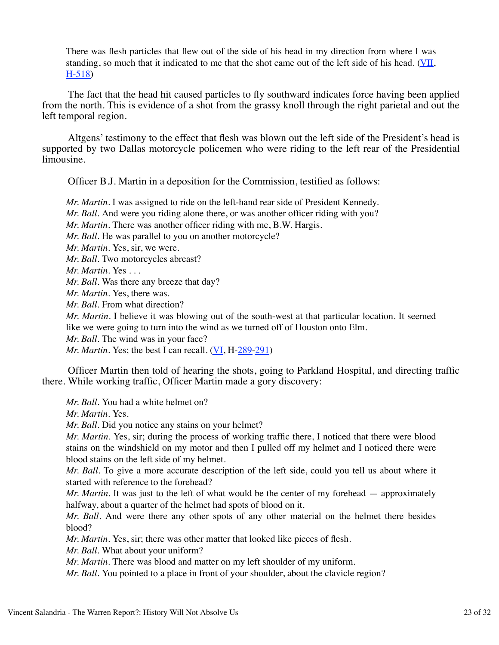There was flesh particles that flew out of the side of his head in my direction from where I was standing, so much that it indicated to me that the shot came out of the left side of his head. ( $VII$ , H-518)

 The fact that the head hit caused particles to fly southward indicates force having been applied from the north. This is evidence of a shot from the grassy knoll through the right parietal and out the left temporal region.

 Altgens' testimony to the effect that flesh was blown out the left side of the President's head is supported by two Dallas motorcycle policemen who were riding to the left rear of the Presidential limousine.

Officer B.J. Martin in a deposition for the Commission, testified as follows:

*Mr. Martin*. I was assigned to ride on the left-hand rear side of President Kennedy.

*Mr. Ball*. And were you riding alone there, or was another officer riding with you?

*Mr. Martin*. There was another officer riding with me, B.W. Hargis.

*Mr. Ball.* He was parallel to you on another motorcycle?

*Mr. Martin*. Yes, sir, we were.

*Mr. Ball*. Two motorcycles abreast?

*Mr. Martin*. Yes . . .

*Mr. Ball*. Was there any breeze that day?

*Mr. Martin*. Yes, there was.

*Mr. Ball*. From what direction?

*Mr. Martin*. I believe it was blowing out of the south-west at that particular location. It seemed like we were going to turn into the wind as we turned off of Houston onto Elm.

*Mr. Ball.* The wind was in your face?

*Mr. Martin.* Yes; the best I can recall. (VI, H-289-291)

 Officer Martin then told of hearing the shots, going to Parkland Hospital, and directing traffic there. While working traffic, Officer Martin made a gory discovery:

*Mr. Ball*. You had a white helmet on?

*Mr. Martin*. Yes.

*Mr. Ball*. Did you notice any stains on your helmet?

*Mr. Martin*. Yes, sir; during the process of working traffic there, I noticed that there were blood stains on the windshield on my motor and then I pulled off my helmet and I noticed there were blood stains on the left side of my helmet.

*Mr. Ball*. To give a more accurate description of the left side, could you tell us about where it started with reference to the forehead?

*Mr. Martin*. It was just to the left of what would be the center of my forehead — approximately halfway, about a quarter of the helmet had spots of blood on it.

*Mr. Ball*. And were there any other spots of any other material on the helmet there besides blood?

*Mr. Martin*. Yes, sir; there was other matter that looked like pieces of flesh.

*Mr. Ball*. What about your uniform?

*Mr. Martin*. There was blood and matter on my left shoulder of my uniform.

*Mr. Ball*. You pointed to a place in front of your shoulder, about the clavicle region?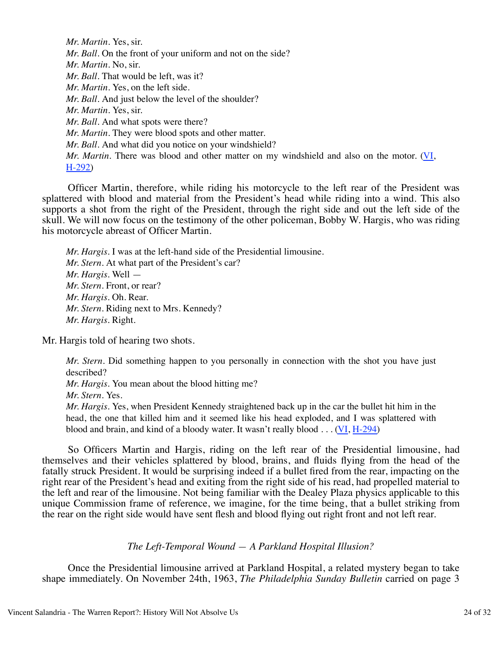*Mr. Martin*. Yes, sir. *Mr. Ball*. On the front of your uniform and not on the side? *Mr. Martin*. No, sir. *Mr. Ball*. That would be left, was it? *Mr. Martin*. Yes, on the left side. *Mr. Ball*. And just below the level of the shoulder? *Mr. Martin*. Yes, sir. *Mr. Ball*. And what spots were there? *Mr. Martin*. They were blood spots and other matter. *Mr. Ball*. And what did you notice on your windshield? *Mr. Martin*. There was blood and other matter on my windshield and also on the motor. (VI, H-292)

 Officer Martin, therefore, while riding his motorcycle to the left rear of the President was splattered with blood and material from the President's head while riding into a wind. This also supports a shot from the right of the President, through the right side and out the left side of the skull. We will now focus on the testimony of the other policeman, Bobby W. Hargis, who was riding his motorcycle abreast of Officer Martin.

*Mr. Hargis*. I was at the left-hand side of the Presidential limousine. *Mr. Stern*. At what part of the President's car? *Mr. Hargis*. Well — *Mr. Stern*. Front, or rear? *Mr. Hargis*. Oh. Rear. *Mr. Stern*. Riding next to Mrs. Kennedy? *Mr. Hargis*. Right.

Mr. Hargis told of hearing two shots.

*Mr. Stern*. Did something happen to you personally in connection with the shot you have just described?

*Mr. Hargis*. You mean about the blood hitting me?

*Mr. Stern*. Yes.

*Mr. Hargis*. Yes, when President Kennedy straightened back up in the car the bullet hit him in the head, the one that killed him and it seemed like his head exploded, and I was splattered with blood and brain, and kind of a bloody water. It wasn't really blood . . . (VI, H-294)

 So Officers Martin and Hargis, riding on the left rear of the Presidential limousine, had themselves and their vehicles splattered by blood, brains, and fluids flying from the head of the fatally struck President. It would be surprising indeed if a bullet fired from the rear, impacting on the right rear of the President's head and exiting from the right side of his read, had propelled material to the left and rear of the limousine. Not being familiar with the Dealey Plaza physics applicable to this unique Commission frame of reference, we imagine, for the time being, that a bullet striking from the rear on the right side would have sent flesh and blood flying out right front and not left rear.

### *The Left-Temporal Wound — A Parkland Hospital Illusion?*

 Once the Presidential limousine arrived at Parkland Hospital, a related mystery began to take shape immediately. On November 24th, 1963, *The Philadelphia Sunday Bulletin* carried on page 3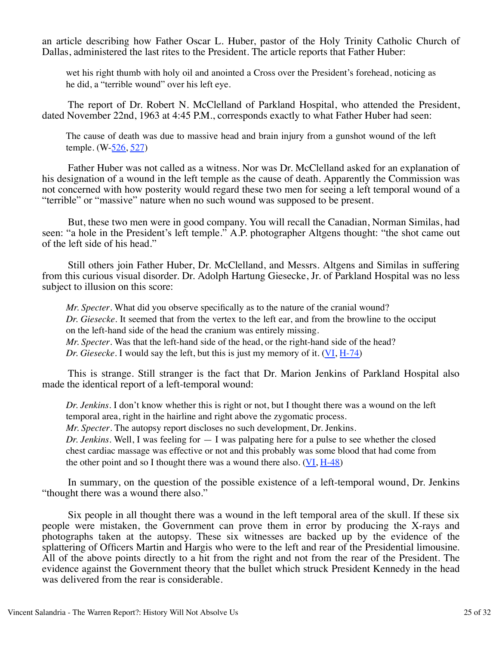an article describing how Father Oscar L. Huber, pastor of the Holy Trinity Catholic Church of Dallas, administered the last rites to the President. The article reports that Father Huber:

wet his right thumb with holy oil and anointed a Cross over the President's forehead, noticing as he did, a "terrible wound" over his left eye.

 The report of Dr. Robert N. McClelland of Parkland Hospital, who attended the President, dated November 22nd, 1963 at 4:45 P.M., corresponds exactly to what Father Huber had seen:

The cause of death was due to massive head and brain injury from a gunshot wound of the left temple. (W-526, 527)

 Father Huber was not called as a witness. Nor was Dr. McClelland asked for an explanation of his designation of a wound in the left temple as the cause of death. Apparently the Commission was not concerned with how posterity would regard these two men for seeing a left temporal wound of a "terrible" or "massive" nature when no such wound was supposed to be present.

 But, these two men were in good company. You will recall the Canadian, Norman Similas, had seen: "a hole in the President's left temple." A.P. photographer Altgens thought: "the shot came out of the left side of his head."

 Still others join Father Huber, Dr. McClelland, and Messrs. Altgens and Similas in suffering from this curious visual disorder. Dr. Adolph Hartung Giesecke, Jr. of Parkland Hospital was no less subject to illusion on this score:

*Mr. Specter*. What did you observe specifically as to the nature of the cranial wound? *Dr. Giesecke*. It seemed that from the vertex to the left ear, and from the browline to the occiput on the left-hand side of the head the cranium was entirely missing. *Mr. Specter*. Was that the left-hand side of the head, or the right-hand side of the head?

*Dr. Giesecke*. I would say the left, but this is just my memory of it. (VI, H-74)

 This is strange. Still stranger is the fact that Dr. Marion Jenkins of Parkland Hospital also made the identical report of a left-temporal wound:

*Dr. Jenkins*. I don't know whether this is right or not, but I thought there was a wound on the left temporal area, right in the hairline and right above the zygomatic process.

*Mr. Specter*. The autopsy report discloses no such development, Dr. Jenkins.

*Dr. Jenkins*. Well, I was feeling for — I was palpating here for a pulse to see whether the closed chest cardiac massage was effective or not and this probably was some blood that had come from the other point and so I thought there was a wound there also.  $(VI, H-48)$ 

 In summary, on the question of the possible existence of a left-temporal wound, Dr. Jenkins "thought there was a wound there also."

 Six people in all thought there was a wound in the left temporal area of the skull. If these six people were mistaken, the Government can prove them in error by producing the X-rays and photographs taken at the autopsy. These six witnesses are backed up by the evidence of the splattering of Officers Martin and Hargis who were to the left and rear of the Presidential limousine. All of the above points directly to a hit from the right and not from the rear of the President. The evidence against the Government theory that the bullet which struck President Kennedy in the head was delivered from the rear is considerable.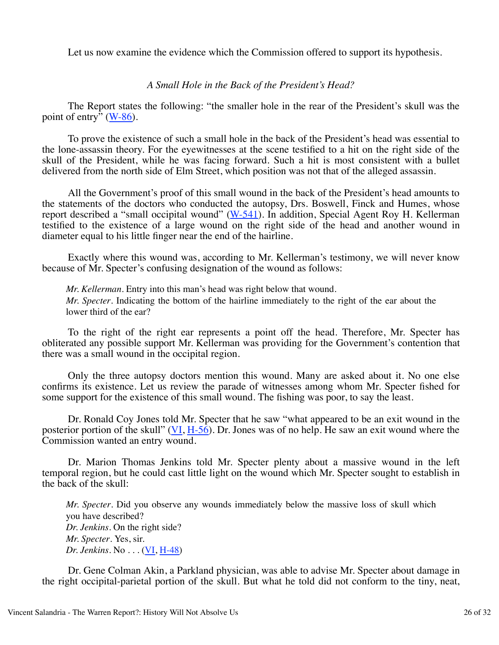Let us now examine the evidence which the Commission offered to support its hypothesis.

## *A Small Hole in the Back of the President's Head?*

 The Report states the following: "the smaller hole in the rear of the President's skull was the point of entry" (W-86).

 To prove the existence of such a small hole in the back of the President's head was essential to the lone-assassin theory. For the eyewitnesses at the scene testified to a hit on the right side of the skull of the President, while he was facing forward. Such a hit is most consistent with a bullet delivered from the north side of Elm Street, which position was not that of the alleged assassin.

 All the Government's proof of this small wound in the back of the President's head amounts to the statements of the doctors who conducted the autopsy, Drs. Boswell, Finck and Humes, whose report described a "small occipital wound"  $(W-541)$ . In addition, Special Agent Roy H. Kellerman testified to the existence of a large wound on the right side of the head and another wound in diameter equal to his little finger near the end of the hairline.

 Exactly where this wound was, according to Mr. Kellerman's testimony, we will never know because of Mr. Specter's confusing designation of the wound as follows:

*Mr. Kellerman*. Entry into this man's head was right below that wound. *Mr. Specter*. Indicating the bottom of the hairline immediately to the right of the ear about the lower third of the ear?

 To the right of the right ear represents a point off the head. Therefore, Mr. Specter has obliterated any possible support Mr. Kellerman was providing for the Government's contention that there was a small wound in the occipital region.

 Only the three autopsy doctors mention this wound. Many are asked about it. No one else confirms its existence. Let us review the parade of witnesses among whom Mr. Specter fished for some support for the existence of this small wound. The fishing was poor, to say the least.

 Dr. Ronald Coy Jones told Mr. Specter that he saw "what appeared to be an exit wound in the posterior portion of the skull" (VI,  $H-5\overline{6}$ ). Dr. Jones was of no help. He saw an exit wound where the Commission wanted an entry wound.

 Dr. Marion Thomas Jenkins told Mr. Specter plenty about a massive wound in the left temporal region, but he could cast little light on the wound which Mr. Specter sought to establish in the back of the skull:

*Mr. Specter*. Did you observe any wounds immediately below the massive loss of skull which you have described? *Dr. Jenkins*. On the right side? *Mr. Specter*. Yes, sir. *Dr. Jenkins*. No . . . (VI, H-48)

 Dr. Gene Colman Akin, a Parkland physician, was able to advise Mr. Specter about damage in the right occipital-parietal portion of the skull. But what he told did not conform to the tiny, neat,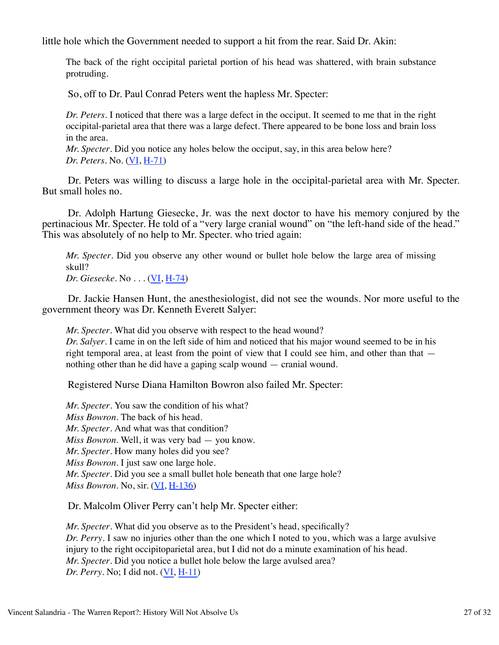little hole which the Government needed to support a hit from the rear. Said Dr. Akin:

The back of the right occipital parietal portion of his head was shattered, with brain substance protruding.

So, off to Dr. Paul Conrad Peters went the hapless Mr. Specter:

*Dr. Peters*. I noticed that there was a large defect in the occiput. It seemed to me that in the right occipital-parietal area that there was a large defect. There appeared to be bone loss and brain loss in the area.

*Mr. Specter*. Did you notice any holes below the occiput, say, in this area below here? *Dr. Peters*. No. (VI, H-71)

 Dr. Peters was willing to discuss a large hole in the occipital-parietal area with Mr. Specter. But small holes no.

 Dr. Adolph Hartung Giesecke, Jr. was the next doctor to have his memory conjured by the pertinacious Mr. Specter. He told of a "very large cranial wound" on "the left-hand side of the head." This was absolutely of no help to Mr. Specter. who tried again:

*Mr. Specter*. Did you observe any other wound or bullet hole below the large area of missing skull?

*Dr. Giesecke*. No . . . (VI, H-74)

 Dr. Jackie Hansen Hunt, the anesthesiologist, did not see the wounds. Nor more useful to the government theory was Dr. Kenneth Everett Salyer:

*Mr. Specter*. What did you observe with respect to the head wound?

*Dr. Salyer*. I came in on the left side of him and noticed that his major wound seemed to be in his right temporal area, at least from the point of view that I could see him, and other than that  $$ nothing other than he did have a gaping scalp wound — cranial wound.

Registered Nurse Diana Hamilton Bowron also failed Mr. Specter:

*Mr. Specter*. You saw the condition of his what? *Miss Bowron*. The back of his head. *Mr. Specter*. And what was that condition? *Miss Bowron*. Well, it was very bad — you know. *Mr. Specter*. How many holes did you see? *Miss Bowron*. I just saw one large hole. *Mr. Specter*. Did you see a small bullet hole beneath that one large hole? *Miss Bowron*. No, sir. (VI, H-136)

Dr. Malcolm Oliver Perry can't help Mr. Specter either:

*Mr. Specter*. What did you observe as to the President's head, specifically? *Dr. Perry*. I saw no injuries other than the one which I noted to you, which was a large avulsive injury to the right occipitoparietal area, but I did not do a minute examination of his head. *Mr. Specter*. Did you notice a bullet hole below the large avulsed area? *Dr. Perry*. No; I did not. (VI, H-11)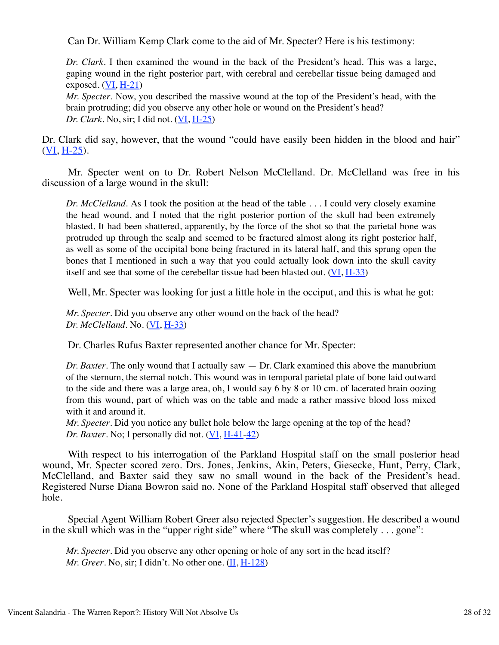Can Dr. William Kemp Clark come to the aid of Mr. Specter? Here is his testimony:

*Dr. Clark*. I then examined the wound in the back of the President's head. This was a large, gaping wound in the right posterior part, with cerebral and cerebellar tissue being damaged and exposed.  $(VI, H-21)$ 

*Mr. Specter*. Now, you described the massive wound at the top of the President's head, with the brain protruding; did you observe any other hole or wound on the President's head? *Dr. Clark*. No, sir; I did not. (VI, H-25)

Dr. Clark did say, however, that the wound "could have easily been hidden in the blood and hair" (VI, H-25).

 Mr. Specter went on to Dr. Robert Nelson McClelland. Dr. McClelland was free in his discussion of a large wound in the skull:

*Dr. McClelland*. As I took the position at the head of the table . . . I could very closely examine the head wound, and I noted that the right posterior portion of the skull had been extremely blasted. It had been shattered, apparently, by the force of the shot so that the parietal bone was protruded up through the scalp and seemed to be fractured almost along its right posterior half, as well as some of the occipital bone being fractured in its lateral half, and this sprung open the bones that I mentioned in such a way that you could actually look down into the skull cavity itself and see that some of the cerebellar tissue had been blasted out. (VI, H-33)

Well, Mr. Specter was looking for just a little hole in the occiput, and this is what he got:

*Mr. Specter*. Did you observe any other wound on the back of the head? *Dr. McClelland*. No. (VI, H-33)

Dr. Charles Rufus Baxter represented another chance for Mr. Specter:

*Dr. Baxter*. The only wound that I actually saw — Dr. Clark examined this above the manubrium of the sternum, the sternal notch. This wound was in temporal parietal plate of bone laid outward to the side and there was a large area, oh, I would say 6 by 8 or 10 cm. of lacerated brain oozing from this wound, part of which was on the table and made a rather massive blood loss mixed with it and around it.

*Mr. Specter*. Did you notice any bullet hole below the large opening at the top of the head? *Dr. Baxter*. No; I personally did not. (VI, H-41-42)

 With respect to his interrogation of the Parkland Hospital staff on the small posterior head wound, Mr. Specter scored zero. Drs. Jones, Jenkins, Akin, Peters, Giesecke, Hunt, Perry, Clark, McClelland, and Baxter said they saw no small wound in the back of the President's head. Registered Nurse Diana Bowron said no. None of the Parkland Hospital staff observed that alleged hole.

 Special Agent William Robert Greer also rejected Specter's suggestion. He described a wound in the skull which was in the "upper right side" where "The skull was completely . . . gone":

*Mr. Specter*. Did you observe any other opening or hole of any sort in the head itself? *Mr. Greer*. No, sir; I didn't. No other one. (II, H-128)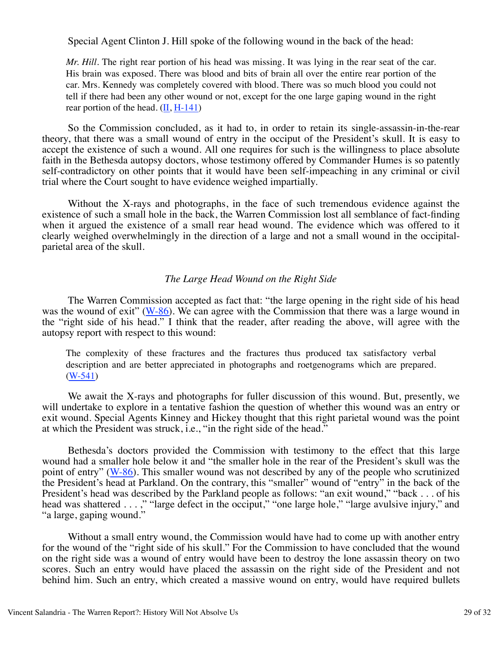Special Agent Clinton J. Hill spoke of the following wound in the back of the head:

*Mr. Hill.* The right rear portion of his head was missing. It was lying in the rear seat of the car. His brain was exposed. There was blood and bits of brain all over the entire rear portion of the car. Mrs. Kennedy was completely covered with blood. There was so much blood you could not tell if there had been any other wound or not, except for the one large gaping wound in the right rear portion of the head.  $(II, H-141)$ 

 So the Commission concluded, as it had to, in order to retain its single-assassin-in-the-rear theory, that there was a small wound of entry in the occiput of the President's skull. It is easy to accept the existence of such a wound. All one requires for such is the willingness to place absolute faith in the Bethesda autopsy doctors, whose testimony offered by Commander Humes is so patently self-contradictory on other points that it would have been self-impeaching in any criminal or civil trial where the Court sought to have evidence weighed impartially.

 Without the X-rays and photographs, in the face of such tremendous evidence against the existence of such a small hole in the back, the Warren Commission lost all semblance of fact-finding when it argued the existence of a small rear head wound. The evidence which was offered to it clearly weighed overwhelmingly in the direction of a large and not a small wound in the occipitalparietal area of the skull.

# *The Large Head Wound on the Right Side*

 The Warren Commission accepted as fact that: "the large opening in the right side of his head was the wound of exit" ( $W-86$ ). We can agree with the Commission that there was a large wound in the "right side of his head." I think that the reader, after reading the above, will agree with the autopsy report with respect to this wound:

The complexity of these fractures and the fractures thus produced tax satisfactory verbal description and are better appreciated in photographs and roetgenograms which are prepared. (W-541)

 We await the X-rays and photographs for fuller discussion of this wound. But, presently, we will undertake to explore in a tentative fashion the question of whether this wound was an entry or exit wound. Special Agents Kinney and Hickey thought that this right parietal wound was the point at which the President was struck, i.e., "in the right side of the head."

 Bethesda's doctors provided the Commission with testimony to the effect that this large wound had a smaller hole below it and "the smaller hole in the rear of the President's skull was the point of entry" (W-86). This smaller wound was not described by any of the people who scrutinized the President's head at Parkland. On the contrary, this "smaller" wound of "entry" in the back of the President's head was described by the Parkland people as follows: "an exit wound," "back . . . of his head was shattered . . . ," "large defect in the occiput," "one large hole," "large avulsive injury," and "a large, gaping wound."

 Without a small entry wound, the Commission would have had to come up with another entry for the wound of the "right side of his skull." For the Commission to have concluded that the wound on the right side was a wound of entry would have been to destroy the lone assassin theory on two scores. Such an entry would have placed the assassin on the right side of the President and not behind him. Such an entry, which created a massive wound on entry, would have required bullets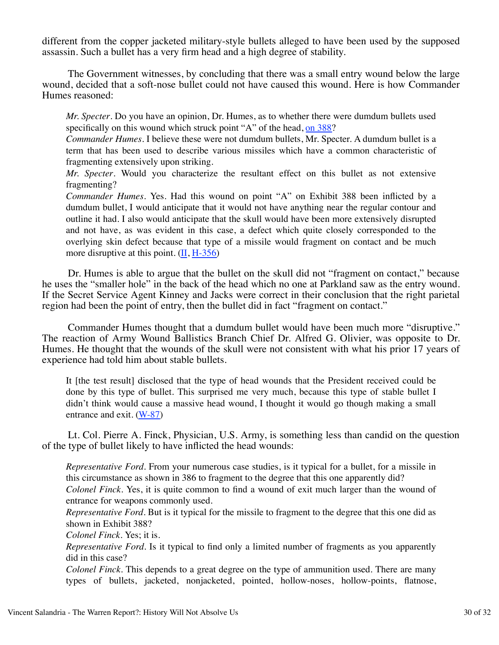different from the copper jacketed military-style bullets alleged to have been used by the supposed assassin. Such a bullet has a very firm head and a high degree of stability.

 The Government witnesses, by concluding that there was a small entry wound below the large wound, decided that a soft-nose bullet could not have caused this wound. Here is how Commander Humes reasoned:

*Mr. Specter*. Do you have an opinion, Dr. Humes, as to whether there were dumdum bullets used specifically on this wound which struck point "A" of the head, on 388?

*Commander Humes*. I believe these were not dumdum bullets, Mr. Specter. A dumdum bullet is a term that has been used to describe various missiles which have a common characteristic of fragmenting extensively upon striking.

*Mr. Specter*. Would you characterize the resultant effect on this bullet as not extensive fragmenting?

*Commander Humes*. Yes. Had this wound on point "A" on Exhibit 388 been inflicted by a dumdum bullet, I would anticipate that it would not have anything near the regular contour and outline it had. I also would anticipate that the skull would have been more extensively disrupted and not have, as was evident in this case, a defect which quite closely corresponded to the overlying skin defect because that type of a missile would fragment on contact and be much more disruptive at this point. (II, H-356)

 Dr. Humes is able to argue that the bullet on the skull did not "fragment on contact," because he uses the "smaller hole" in the back of the head which no one at Parkland saw as the entry wound. If the Secret Service Agent Kinney and Jacks were correct in their conclusion that the right parietal region had been the point of entry, then the bullet did in fact "fragment on contact."

 Commander Humes thought that a dumdum bullet would have been much more "disruptive." The reaction of Army Wound Ballistics Branch Chief Dr. Alfred G. Olivier, was opposite to Dr. Humes. He thought that the wounds of the skull were not consistent with what his prior 17 years of experience had told him about stable bullets.

It [the test result] disclosed that the type of head wounds that the President received could be done by this type of bullet. This surprised me very much, because this type of stable bullet I didn't think would cause a massive head wound, I thought it would go though making a small entrance and exit. (W-87)

 Lt. Col. Pierre A. Finck, Physician, U.S. Army, is something less than candid on the question of the type of bullet likely to have inflicted the head wounds:

*Representative Ford*. From your numerous case studies, is it typical for a bullet, for a missile in this circumstance as shown in 386 to fragment to the degree that this one apparently did? *Colonel Finck*. Yes, it is quite common to find a wound of exit much larger than the wound of entrance for weapons commonly used.

*Representative Ford*. But is it typical for the missile to fragment to the degree that this one did as shown in Exhibit 388?

*Colonel Finck*. Yes; it is.

*Representative Ford*. Is it typical to find only a limited number of fragments as you apparently did in this case?

*Colonel Finck*. This depends to a great degree on the type of ammunition used. There are many types of bullets, jacketed, nonjacketed, pointed, hollow-noses, hollow-points, flatnose,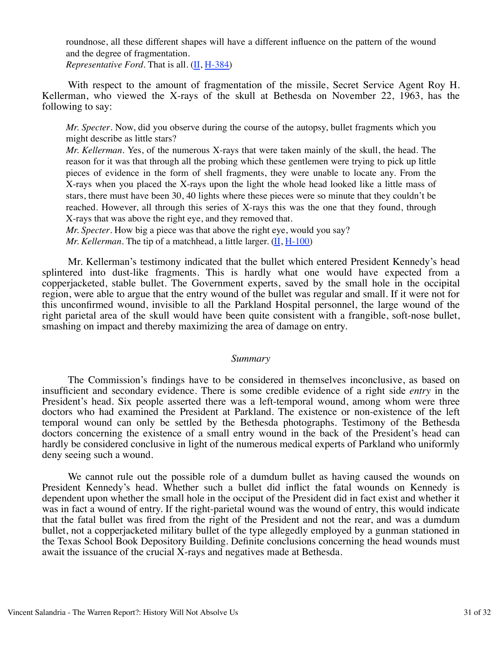roundnose, all these different shapes will have a different influence on the pattern of the wound and the degree of fragmentation.

*Representative Ford*. That is all. (II, H-384)

 With respect to the amount of fragmentation of the missile, Secret Service Agent Roy H. Kellerman, who viewed the X-rays of the skull at Bethesda on November 22, 1963, has the following to say:

*Mr. Specter*. Now, did you observe during the course of the autopsy, bullet fragments which you might describe as little stars?

*Mr. Kellerman*. Yes, of the numerous X-rays that were taken mainly of the skull, the head. The reason for it was that through all the probing which these gentlemen were trying to pick up little pieces of evidence in the form of shell fragments, they were unable to locate any. From the X-rays when you placed the X-rays upon the light the whole head looked like a little mass of stars, there must have been 30, 40 lights where these pieces were so minute that they couldn't be reached. However, all through this series of X-rays this was the one that they found, through X-rays that was above the right eye, and they removed that.

*Mr. Specter*. How big a piece was that above the right eye, would you say?

*Mr. Kellerman*. The tip of a matchhead, a little larger.  $(\underline{II}, H-100)$ 

 Mr. Kellerman's testimony indicated that the bullet which entered President Kennedy's head splintered into dust-like fragments. This is hardly what one would have expected from a copperjacketed, stable bullet. The Government experts, saved by the small hole in the occipital region, were able to argue that the entry wound of the bullet was regular and small. If it were not for this unconfirmed wound, invisible to all the Parkland Hospital personnel, the large wound of the right parietal area of the skull would have been quite consistent with a frangible, soft-nose bullet, smashing on impact and thereby maximizing the area of damage on entry.

### *Summary*

 The Commission's findings have to be considered in themselves inconclusive, as based on insufficient and secondary evidence. There is some credible evidence of a right side *entry* in the President's head. Six people asserted there was a left-temporal wound, among whom were three doctors who had examined the President at Parkland. The existence or non-existence of the left temporal wound can only be settled by the Bethesda photographs. Testimony of the Bethesda doctors concerning the existence of a small entry wound in the back of the President's head can hardly be considered conclusive in light of the numerous medical experts of Parkland who uniformly deny seeing such a wound.

 We cannot rule out the possible role of a dumdum bullet as having caused the wounds on President Kennedy's head. Whether such a bullet did inflict the fatal wounds on Kennedy is dependent upon whether the small hole in the occiput of the President did in fact exist and whether it was in fact a wound of entry. If the right-parietal wound was the wound of entry, this would indicate that the fatal bullet was fired from the right of the President and not the rear, and was a dumdum bullet, not a copperjacketed military bullet of the type allegedly employed by a gunman stationed in the Texas School Book Depository Building. Definite conclusions concerning the head wounds must await the issuance of the crucial X-rays and negatives made at Bethesda.